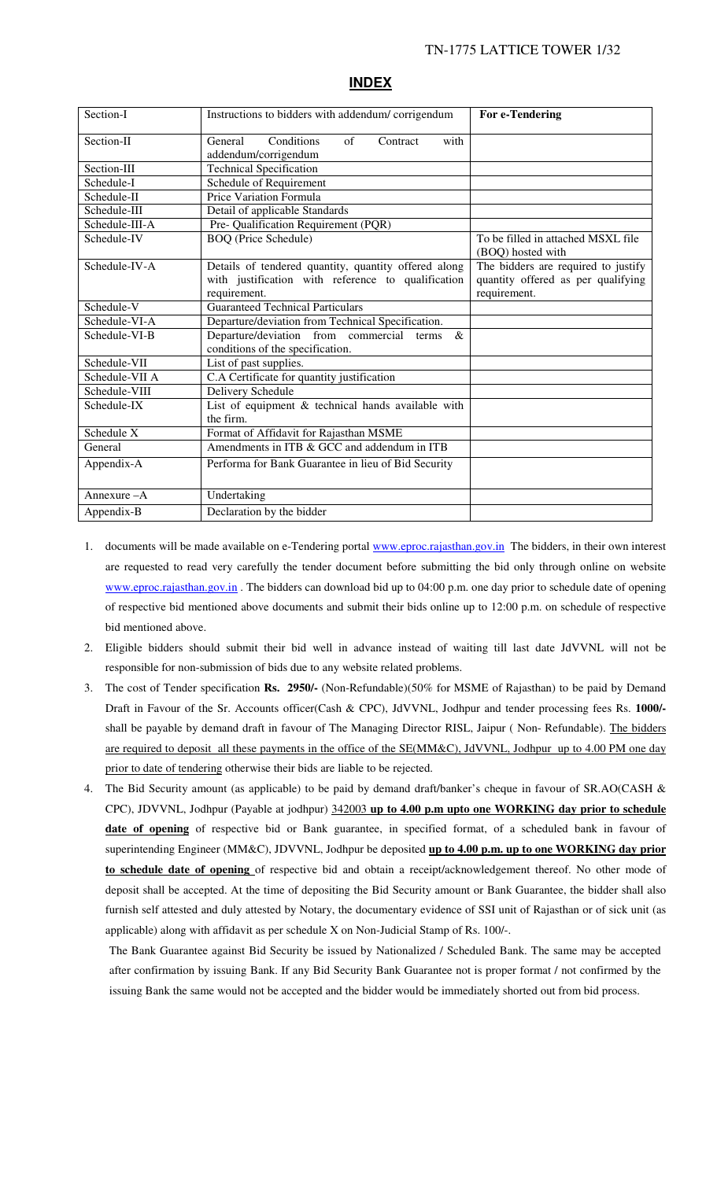| Section-I      | Instructions to bidders with addendum/corrigendum                                                                          | For e-Tendering                                                                           |
|----------------|----------------------------------------------------------------------------------------------------------------------------|-------------------------------------------------------------------------------------------|
| Section-II     | Conditions<br>General<br>$\sigma$ f<br>Contract<br>with<br>addendum/corrigendum                                            |                                                                                           |
| Section-III    | <b>Technical Specification</b>                                                                                             |                                                                                           |
| Schedule-I     | Schedule of Requirement                                                                                                    |                                                                                           |
| Schedule-II    | Price Variation Formula                                                                                                    |                                                                                           |
| Schedule-III   | Detail of applicable Standards                                                                                             |                                                                                           |
| Schedule-III-A | Pre- Qualification Requirement (PQR)                                                                                       |                                                                                           |
| Schedule-IV    | <b>BOQ</b> (Price Schedule)                                                                                                | To be filled in attached MSXL file<br>(BOQ) hosted with                                   |
| Schedule-IV-A  | Details of tendered quantity, quantity offered along<br>with justification with reference to qualification<br>requirement. | The bidders are required to justify<br>quantity offered as per qualifying<br>requirement. |
| Schedule-V     | <b>Guaranteed Technical Particulars</b>                                                                                    |                                                                                           |
| Schedule-VI-A  | Departure/deviation from Technical Specification.                                                                          |                                                                                           |
| Schedule-VI-B  | Departure/deviation from commercial<br>$\&$<br>terms<br>conditions of the specification.                                   |                                                                                           |
| Schedule-VII   | List of past supplies.                                                                                                     |                                                                                           |
| Schedule-VII A | C.A Certificate for quantity justification                                                                                 |                                                                                           |
| Schedule-VIII  | Delivery Schedule                                                                                                          |                                                                                           |
| Schedule-IX    | List of equipment & technical hands available with<br>the firm.                                                            |                                                                                           |
| Schedule X     | Format of Affidavit for Rajasthan MSME                                                                                     |                                                                                           |
| General        | Amendments in ITB & GCC and addendum in ITB                                                                                |                                                                                           |
| Appendix-A     | Performa for Bank Guarantee in lieu of Bid Security                                                                        |                                                                                           |
| Annexure $-A$  | Undertaking                                                                                                                |                                                                                           |
| Appendix-B     | Declaration by the bidder                                                                                                  |                                                                                           |

#### **INDEX**

- 1. documents will be made available on e-Tendering portal www.eproc.rajasthan.gov.in The bidders, in their own interest are requested to read very carefully the tender document before submitting the bid only through online on website www.eproc.rajasthan.gov.in. The bidders can download bid up to 04:00 p.m. one day prior to schedule date of opening of respective bid mentioned above documents and submit their bids online up to 12:00 p.m. on schedule of respective bid mentioned above.
- 2. Eligible bidders should submit their bid well in advance instead of waiting till last date JdVVNL will not be responsible for non-submission of bids due to any website related problems.
- 3. The cost of Tender specification **Rs. 2950/-** (Non-Refundable)(50% for MSME of Rajasthan) to be paid by Demand Draft in Favour of the Sr. Accounts officer(Cash & CPC), JdVVNL, Jodhpur and tender processing fees Rs. **1000/** shall be payable by demand draft in favour of The Managing Director RISL, Jaipur (Non-Refundable). The bidders are required to deposit all these payments in the office of the SE(MM&C), JdVVNL, Jodhpur up to 4.00 PM one day prior to date of tendering otherwise their bids are liable to be rejected.
- 4. The Bid Security amount (as applicable) to be paid by demand draft/banker's cheque in favour of SR.AO(CASH & CPC), JDVVNL, Jodhpur (Payable at jodhpur) 342003 **up to 4.00 p.m upto one WORKING day prior to schedule**  date of opening of respective bid or Bank guarantee, in specified format, of a scheduled bank in favour of superintending Engineer (MM&C), JDVVNL, Jodhpur be deposited **up to 4.00 p.m. up to one WORKING day prior to schedule date of opening** of respective bid and obtain a receipt/acknowledgement thereof. No other mode of deposit shall be accepted. At the time of depositing the Bid Security amount or Bank Guarantee, the bidder shall also furnish self attested and duly attested by Notary, the documentary evidence of SSI unit of Rajasthan or of sick unit (as applicable) along with affidavit as per schedule X on Non-Judicial Stamp of Rs. 100/-.

The Bank Guarantee against Bid Security be issued by Nationalized / Scheduled Bank. The same may be accepted after confirmation by issuing Bank. If any Bid Security Bank Guarantee not is proper format / not confirmed by the issuing Bank the same would not be accepted and the bidder would be immediately shorted out from bid process.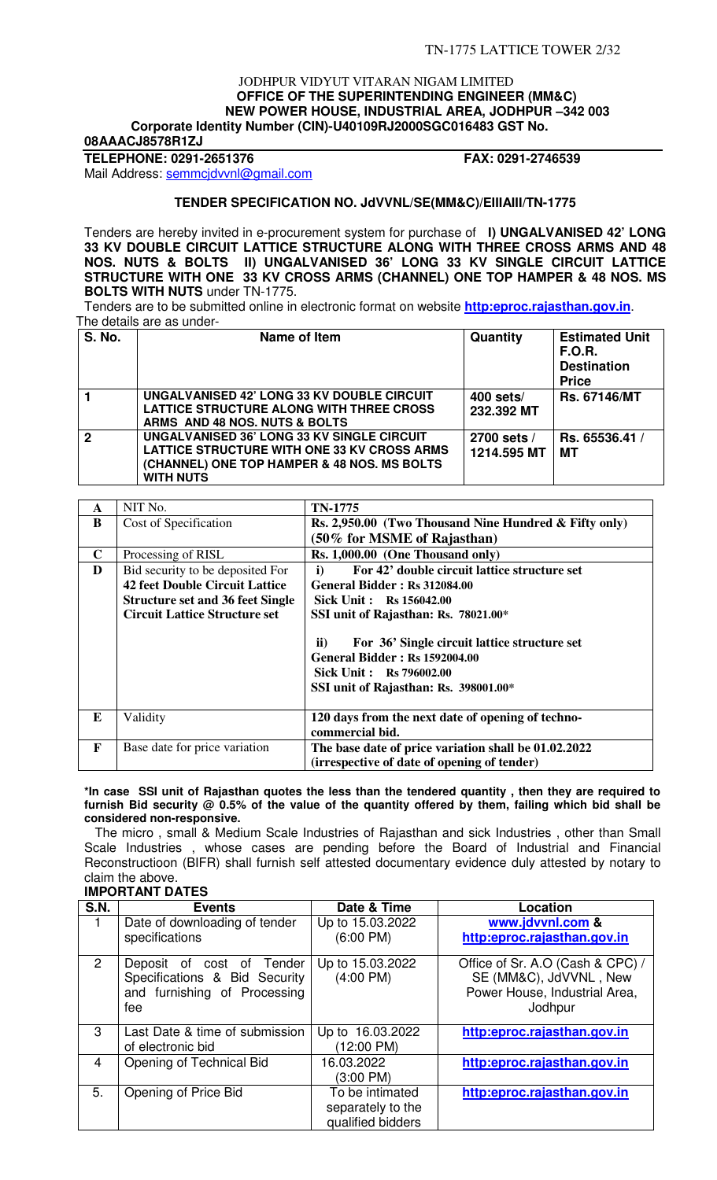#### JODHPUR VIDYUT VITARAN NIGAM LIMITED  **OFFICE OF THE SUPERINTENDING ENGINEER (MM&C) NEW POWER HOUSE, INDUSTRIAL AREA, JODHPUR –342 003 Corporate Identity Number (CIN)-U40109RJ2000SGC016483 GST No.**

**08AAACJ8578R1ZJ** 

**TELEPHONE: 0291-2651376 FAX: 0291-2746539** 

Mail Address: semmcjdvvnl@gmail.com

## **TENDER SPECIFICATION NO. JdVVNL/SE(MM&C)/EIIIAIII/TN-1775**

Tenders are hereby invited in e-procurement system for purchase of **I) UNGALVANISED 42' LONG 33 KV DOUBLE CIRCUIT LATTICE STRUCTURE ALONG WITH THREE CROSS ARMS AND 48 NOS. NUTS & BOLTS II) UNGALVANISED 36' LONG 33 KV SINGLE CIRCUIT LATTICE STRUCTURE WITH ONE 33 KV CROSS ARMS (CHANNEL) ONE TOP HAMPER & 48 NOS. MS BOLTS WITH NUTS** under TN-1775.

 Tenders are to be submitted online in electronic format on website **http:eproc.rajasthan.gov.in**. The details are as under-

| <b>S. No.</b> | Name of Item                                                                                                                                                        | Quantity                   | <b>Estimated Unit</b><br><b>F.O.R.</b><br><b>Destination</b><br><b>Price</b> |
|---------------|---------------------------------------------------------------------------------------------------------------------------------------------------------------------|----------------------------|------------------------------------------------------------------------------|
|               | UNGALVANISED 42' LONG 33 KV DOUBLE CIRCUIT<br>LATTICE STRUCTURE ALONG WITH THREE CROSS<br>ARMS AND 48 NOS. NUTS & BOLTS                                             | $400$ sets/<br>232.392 MT  | <b>Rs. 67146/MT</b>                                                          |
| $\mathbf 2$   | <b>UNGALVANISED 36' LONG 33 KV SINGLE CIRCUIT</b><br>LATTICE STRUCTURE WITH ONE 33 KV CROSS ARMS<br>(CHANNEL) ONE TOP HAMPER & 48 NOS. MS BOLTS<br><b>WITH NUTS</b> | 2700 sets /<br>1214.595 MT | Rs. 65536.41 /<br>мт                                                         |

| A           | NIT No.                                 | TN-1775                                                                                                                                                                   |
|-------------|-----------------------------------------|---------------------------------------------------------------------------------------------------------------------------------------------------------------------------|
| B           | Cost of Specification                   | Rs. 2,950.00 (Two Thousand Nine Hundred & Fifty only)                                                                                                                     |
|             |                                         | $(50\%$ for MSME of Rajasthan)                                                                                                                                            |
| $\mathbf C$ | Processing of RISL                      | Rs. 1,000.00 (One Thousand only)                                                                                                                                          |
| D           | Bid security to be deposited For        | For 42' double circuit lattice structure set<br>i)                                                                                                                        |
|             | <b>42 feet Double Circuit Lattice</b>   | <b>General Bidder: Rs 312084.00</b>                                                                                                                                       |
|             | <b>Structure set and 36 feet Single</b> | <b>Sick Unit: Rs 156042.00</b>                                                                                                                                            |
|             | <b>Circuit Lattice Structure set</b>    | SSI unit of Rajasthan: Rs. 78021.00*                                                                                                                                      |
|             |                                         | $\mathbf{ii}$<br>For 36' Single circuit lattice structure set<br><b>General Bidder: Rs 1592004.00</b><br>Sick Unit: Rs 796002.00<br>SSI unit of Rajasthan: Rs. 398001.00* |
| E           | Validity                                | 120 days from the next date of opening of techno-<br>commercial bid.                                                                                                      |
| F           | Base date for price variation           | The base date of price variation shall be 01.02.2022<br>(irrespective of date of opening of tender)                                                                       |

#### **\*In case SSI unit of Rajasthan quotes the less than the tendered quantity , then they are required to furnish Bid security @ 0.5% of the value of the quantity offered by them, failing which bid shall be considered non-responsive.**

 The micro , small & Medium Scale Industries of Rajasthan and sick Industries , other than Small Scale Industries , whose cases are pending before the Board of Industrial and Financial Reconstructioon (BIFR) shall furnish self attested documentary evidence duly attested by notary to claim the above.

## **IMPORTANT DATES**

| <b>S.N.</b>   | <b>Events</b>                                                                                     | Date & Time                                               | Location                                                                                               |
|---------------|---------------------------------------------------------------------------------------------------|-----------------------------------------------------------|--------------------------------------------------------------------------------------------------------|
|               | Date of downloading of tender<br>specifications                                                   | Up to 15.03.2022<br>$(6:00 \text{ PM})$                   | www.jdvvnl.com &<br>http:eproc.rajasthan.gov.in                                                        |
| $\mathcal{P}$ | Deposit of cost of Tender<br>Specifications & Bid Security<br>and furnishing of Processing<br>fee | Up to 15.03.2022<br>$(4:00 \text{ PM})$                   | Office of Sr. A.O (Cash & CPC) /<br>SE (MM&C), JdVVNL, New<br>Power House, Industrial Area,<br>Jodhpur |
| 3             | Last Date & time of submission<br>of electronic bid                                               | Up to 16.03.2022<br>(12:00 PM)                            | http:eproc.rajasthan.gov.in                                                                            |
| 4             | Opening of Technical Bid                                                                          | 16.03.2022<br>(3:00 PM)                                   | http:eproc.rajasthan.gov.in                                                                            |
| 5.            | Opening of Price Bid                                                                              | To be intimated<br>separately to the<br>qualified bidders | http:eproc.rajasthan.gov.in                                                                            |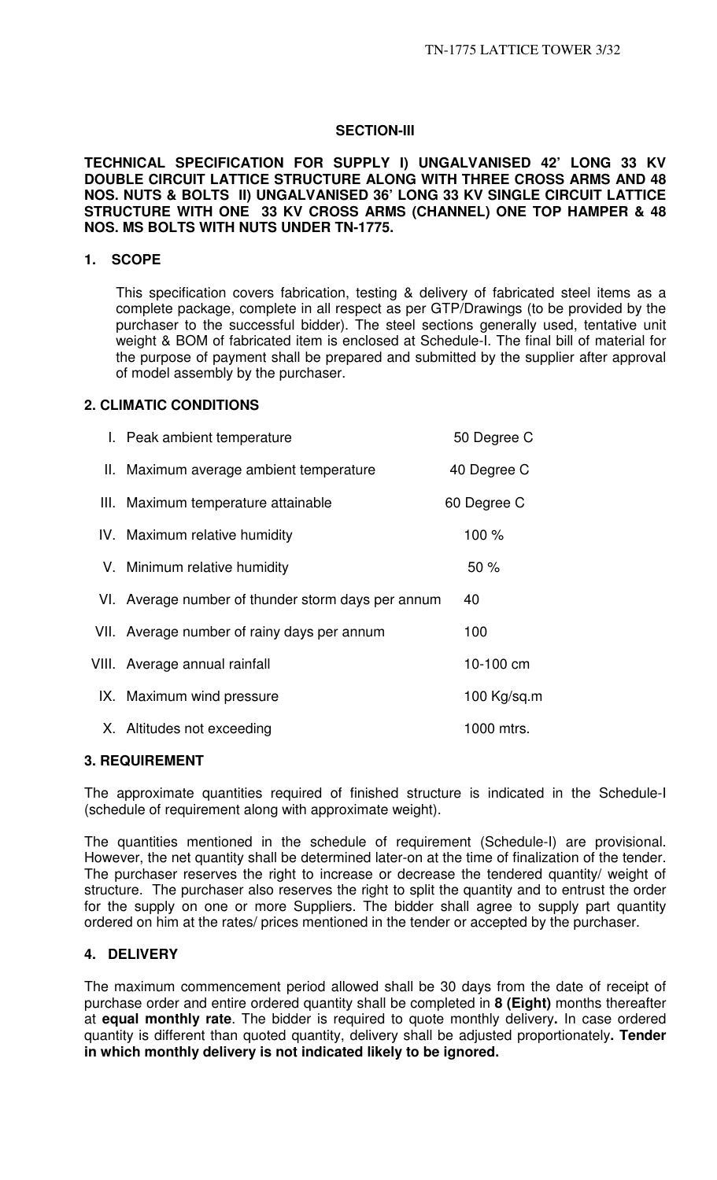## **SECTION-III**

**TECHNICAL SPECIFICATION FOR SUPPLY I) UNGALVANISED 42' LONG 33 KV DOUBLE CIRCUIT LATTICE STRUCTURE ALONG WITH THREE CROSS ARMS AND 48 NOS. NUTS & BOLTS II) UNGALVANISED 36' LONG 33 KV SINGLE CIRCUIT LATTICE STRUCTURE WITH ONE 33 KV CROSS ARMS (CHANNEL) ONE TOP HAMPER & 48 NOS. MS BOLTS WITH NUTS UNDER TN-1775.** 

## **1. SCOPE**

This specification covers fabrication, testing & delivery of fabricated steel items as a complete package, complete in all respect as per GTP/Drawings (to be provided by the purchaser to the successful bidder). The steel sections generally used, tentative unit weight & BOM of fabricated item is enclosed at Schedule-I. The final bill of material for the purpose of payment shall be prepared and submitted by the supplier after approval of model assembly by the purchaser.

## **2. CLIMATIC CONDITIONS**

| I. Peak ambient temperature                        | 50 Degree C   |
|----------------------------------------------------|---------------|
| II. Maximum average ambient temperature            | 40 Degree C   |
| III. Maximum temperature attainable                | 60 Degree C   |
| IV. Maximum relative humidity                      | 100 %         |
| V. Minimum relative humidity                       | 50%           |
| VI. Average number of thunder storm days per annum | 40            |
| VII. Average number of rainy days per annum        | 100           |
| VIII. Average annual rainfall                      | 10-100 cm     |
| IX. Maximum wind pressure                          | 100 $Kq/sq.m$ |
| X. Altitudes not exceeding                         | 1000 mtrs.    |

## **3. REQUIREMENT**

The approximate quantities required of finished structure is indicated in the Schedule-I (schedule of requirement along with approximate weight).

The quantities mentioned in the schedule of requirement (Schedule-I) are provisional. However, the net quantity shall be determined later-on at the time of finalization of the tender. The purchaser reserves the right to increase or decrease the tendered quantity/ weight of structure. The purchaser also reserves the right to split the quantity and to entrust the order for the supply on one or more Suppliers. The bidder shall agree to supply part quantity ordered on him at the rates/ prices mentioned in the tender or accepted by the purchaser.

## **4. DELIVERY**

The maximum commencement period allowed shall be 30 days from the date of receipt of purchase order and entire ordered quantity shall be completed in **8 (Eight)** months thereafter at **equal monthly rate**. The bidder is required to quote monthly delivery**.** In case ordered quantity is different than quoted quantity, delivery shall be adjusted proportionately**. Tender in which monthly delivery is not indicated likely to be ignored.**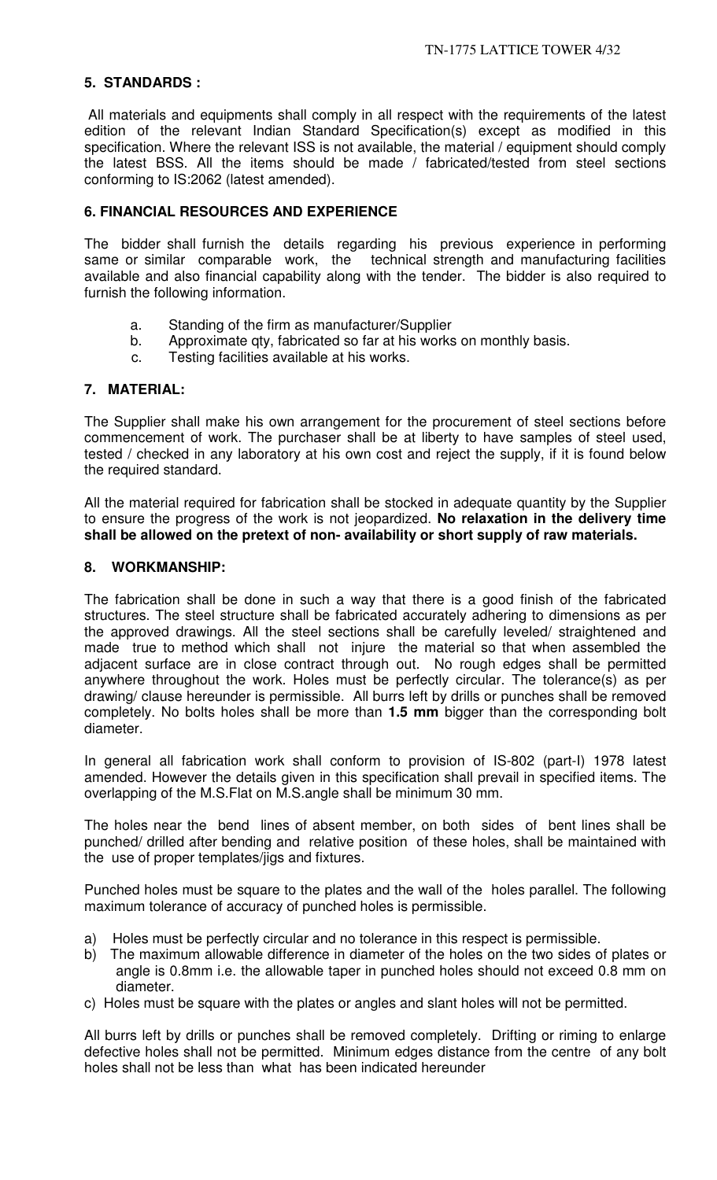# **5. STANDARDS :**

All materials and equipments shall comply in all respect with the requirements of the latest edition of the relevant Indian Standard Specification(s) except as modified in this specification. Where the relevant ISS is not available, the material / equipment should comply the latest BSS. All the items should be made / fabricated/tested from steel sections conforming to IS:2062 (latest amended).

## **6. FINANCIAL RESOURCES AND EXPERIENCE**

The bidder shall furnish the details regarding his previous experience in performing same or similar comparable work, the technical strength and manufacturing facilities available and also financial capability along with the tender. The bidder is also required to furnish the following information.

- a. Standing of the firm as manufacturer/Supplier
- b. Approximate qty, fabricated so far at his works on monthly basis.
- c. Testing facilities available at his works.

## **7. MATERIAL:**

The Supplier shall make his own arrangement for the procurement of steel sections before commencement of work. The purchaser shall be at liberty to have samples of steel used, tested / checked in any laboratory at his own cost and reject the supply, if it is found below the required standard.

All the material required for fabrication shall be stocked in adequate quantity by the Supplier to ensure the progress of the work is not jeopardized. **No relaxation in the delivery time shall be allowed on the pretext of non- availability or short supply of raw materials.** 

## **8. WORKMANSHIP:**

The fabrication shall be done in such a way that there is a good finish of the fabricated structures. The steel structure shall be fabricated accurately adhering to dimensions as per the approved drawings. All the steel sections shall be carefully leveled/ straightened and made true to method which shall not injure the material so that when assembled the adjacent surface are in close contract through out. No rough edges shall be permitted anywhere throughout the work. Holes must be perfectly circular. The tolerance(s) as per drawing/ clause hereunder is permissible. All burrs left by drills or punches shall be removed completely. No bolts holes shall be more than **1.5 mm** bigger than the corresponding bolt diameter.

In general all fabrication work shall conform to provision of IS-802 (part-I) 1978 latest amended. However the details given in this specification shall prevail in specified items. The overlapping of the M.S.Flat on M.S.angle shall be minimum 30 mm.

The holes near the bend lines of absent member, on both sides of bent lines shall be punched/ drilled after bending and relative position of these holes, shall be maintained with the use of proper templates/jigs and fixtures.

Punched holes must be square to the plates and the wall of the holes parallel. The following maximum tolerance of accuracy of punched holes is permissible.

- a) Holes must be perfectly circular and no tolerance in this respect is permissible.
- b) The maximum allowable difference in diameter of the holes on the two sides of plates or angle is 0.8mm i.e. the allowable taper in punched holes should not exceed 0.8 mm on diameter.
- c) Holes must be square with the plates or angles and slant holes will not be permitted.

All burrs left by drills or punches shall be removed completely. Drifting or riming to enlarge defective holes shall not be permitted. Minimum edges distance from the centre of any bolt holes shall not be less than what has been indicated hereunder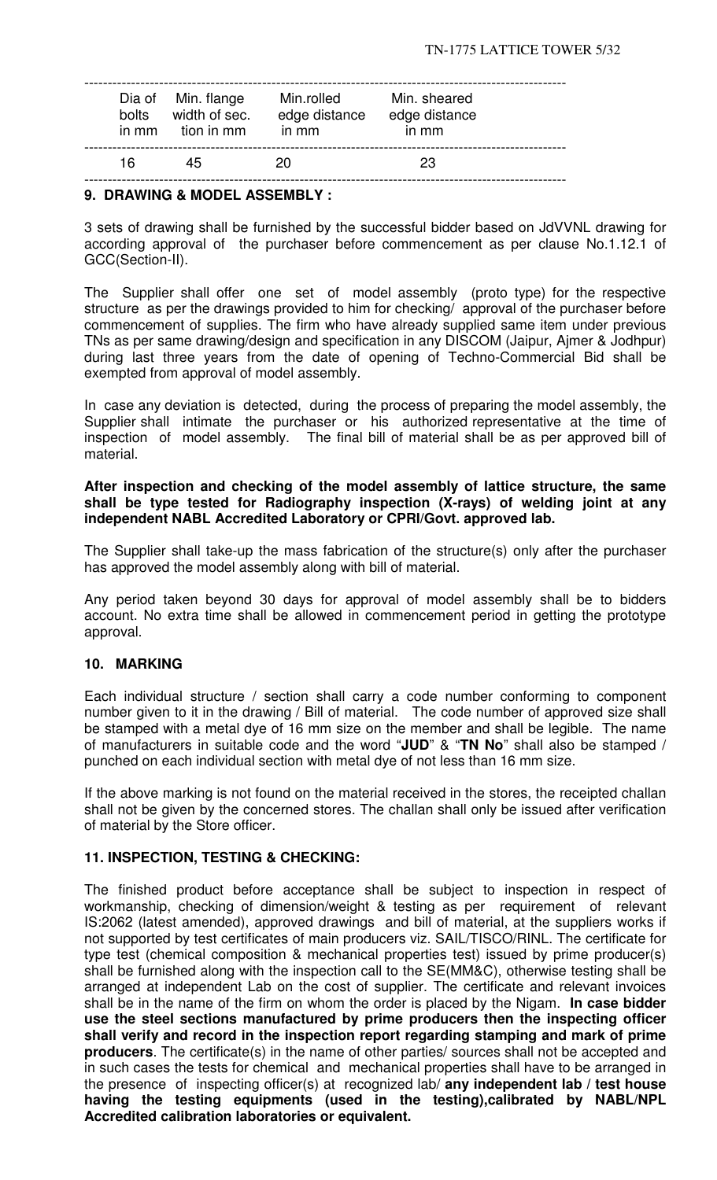| bolts<br>in mm | Dia of Min. flange<br>width of sec.<br>tion in mm | Min.rolled<br>edge distance<br>in mm | Min. sheared<br>edge distance<br>in mm |  |
|----------------|---------------------------------------------------|--------------------------------------|----------------------------------------|--|
| 16             | 45                                                | 20                                   | 23                                     |  |

## **9. DRAWING & MODEL ASSEMBLY :**

3 sets of drawing shall be furnished by the successful bidder based on JdVVNL drawing for according approval of the purchaser before commencement as per clause No.1.12.1 of GCC(Section-II).

The Supplier shall offer one set of model assembly (proto type) for the respective structure as per the drawings provided to him for checking/ approval of the purchaser before commencement of supplies. The firm who have already supplied same item under previous TNs as per same drawing/design and specification in any DISCOM (Jaipur, Ajmer & Jodhpur) during last three years from the date of opening of Techno-Commercial Bid shall be exempted from approval of model assembly.

In case any deviation is detected, during the process of preparing the model assembly, the Supplier shall intimate the purchaser or his authorized representative at the time of inspection of model assembly. The final bill of material shall be as per approved bill of material.

#### **After inspection and checking of the model assembly of lattice structure, the same shall be type tested for Radiography inspection (X-rays) of welding joint at any independent NABL Accredited Laboratory or CPRI/Govt. approved lab.**

The Supplier shall take-up the mass fabrication of the structure(s) only after the purchaser has approved the model assembly along with bill of material.

Any period taken beyond 30 days for approval of model assembly shall be to bidders account. No extra time shall be allowed in commencement period in getting the prototype approval.

## **10. MARKING**

Each individual structure / section shall carry a code number conforming to component number given to it in the drawing / Bill of material. The code number of approved size shall be stamped with a metal dye of 16 mm size on the member and shall be legible. The name of manufacturers in suitable code and the word "**JUD**" & "**TN No**" shall also be stamped / punched on each individual section with metal dye of not less than 16 mm size.

If the above marking is not found on the material received in the stores, the receipted challan shall not be given by the concerned stores. The challan shall only be issued after verification of material by the Store officer.

## **11. INSPECTION, TESTING & CHECKING:**

The finished product before acceptance shall be subject to inspection in respect of workmanship, checking of dimension/weight & testing as per requirement of relevant IS:2062 (latest amended), approved drawings and bill of material, at the suppliers works if not supported by test certificates of main producers viz. SAIL/TISCO/RINL. The certificate for type test (chemical composition & mechanical properties test) issued by prime producer(s) shall be furnished along with the inspection call to the SE(MM&C), otherwise testing shall be arranged at independent Lab on the cost of supplier. The certificate and relevant invoices shall be in the name of the firm on whom the order is placed by the Nigam. **In case bidder use the steel sections manufactured by prime producers then the inspecting officer shall verify and record in the inspection report regarding stamping and mark of prime producers**. The certificate(s) in the name of other parties/ sources shall not be accepted and in such cases the tests for chemical and mechanical properties shall have to be arranged in the presence of inspecting officer(s) at recognized lab/ **any independent lab / test house having the testing equipments (used in the testing),calibrated by NABL/NPL Accredited calibration laboratories or equivalent.**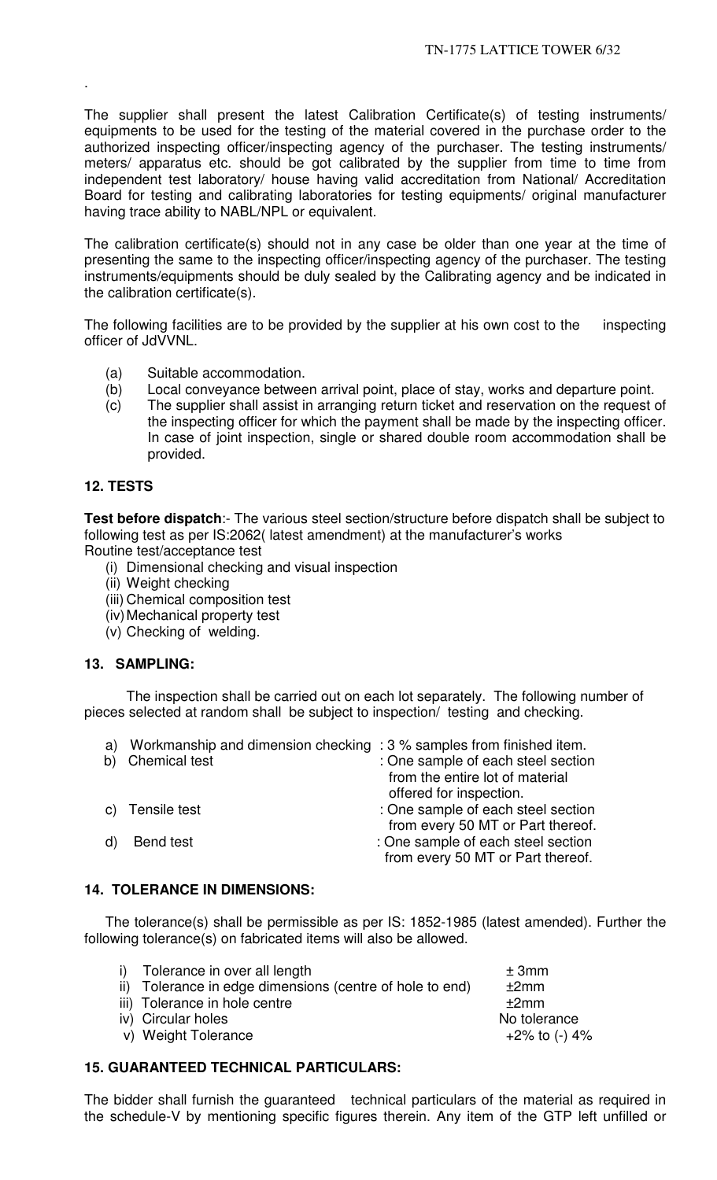The supplier shall present the latest Calibration Certificate(s) of testing instruments/ equipments to be used for the testing of the material covered in the purchase order to the authorized inspecting officer/inspecting agency of the purchaser. The testing instruments/ meters/ apparatus etc. should be got calibrated by the supplier from time to time from independent test laboratory/ house having valid accreditation from National/ Accreditation Board for testing and calibrating laboratories for testing equipments/ original manufacturer having trace ability to NABL/NPL or equivalent.

The calibration certificate(s) should not in any case be older than one year at the time of presenting the same to the inspecting officer/inspecting agency of the purchaser. The testing instruments/equipments should be duly sealed by the Calibrating agency and be indicated in the calibration certificate(s).

The following facilities are to be provided by the supplier at his own cost to the inspecting officer of JdVVNL.

- (a) Suitable accommodation.
- (b) Local conveyance between arrival point, place of stay, works and departure point.
- (c) The supplier shall assist in arranging return ticket and reservation on the request of the inspecting officer for which the payment shall be made by the inspecting officer. In case of joint inspection, single or shared double room accommodation shall be provided.

## **12. TESTS**

.

**Test before dispatch**:- The various steel section/structure before dispatch shall be subject to following test as per IS:2062( latest amendment) at the manufacturer's works Routine test/acceptance test

- (i) Dimensional checking and visual inspection
- (ii) Weight checking
- (iii) Chemical composition test
- (iv) Mechanical property test
- (v) Checking of welding.

## **13. SAMPLING:**

The inspection shall be carried out on each lot separately. The following number of pieces selected at random shall be subject to inspection/ testing and checking.

| a) | Workmanship and dimension checking : 3 % samples from finished item. |                                    |
|----|----------------------------------------------------------------------|------------------------------------|
| b) | <b>Chemical test</b>                                                 | : One sample of each steel section |
|    |                                                                      | from the entire lot of material    |
|    |                                                                      | offered for inspection.            |
|    | c) Tensile test                                                      | : One sample of each steel section |
|    |                                                                      | from every 50 MT or Part thereof.  |
|    | Bend test                                                            | : One sample of each steel section |
|    |                                                                      | from every 50 MT or Part thereof.  |
|    |                                                                      |                                    |

## **14. TOLERANCE IN DIMENSIONS:**

The tolerance(s) shall be permissible as per IS: 1852-1985 (latest amended). Further the following tolerance(s) on fabricated items will also be allowed.

| i) Tolerance in over all length                          | ± 3mm            |
|----------------------------------------------------------|------------------|
| ii) Tolerance in edge dimensions (centre of hole to end) | ±2mm             |
| iii) Tolerance in hole centre                            | ±2mm             |
| iv) Circular holes                                       | No tolerance     |
| v) Weight Tolerance                                      | $+2\%$ to (-) 4% |
|                                                          |                  |

## **15. GUARANTEED TECHNICAL PARTICULARS:**

The bidder shall furnish the guaranteed technical particulars of the material as required in the schedule-V by mentioning specific figures therein. Any item of the GTP left unfilled or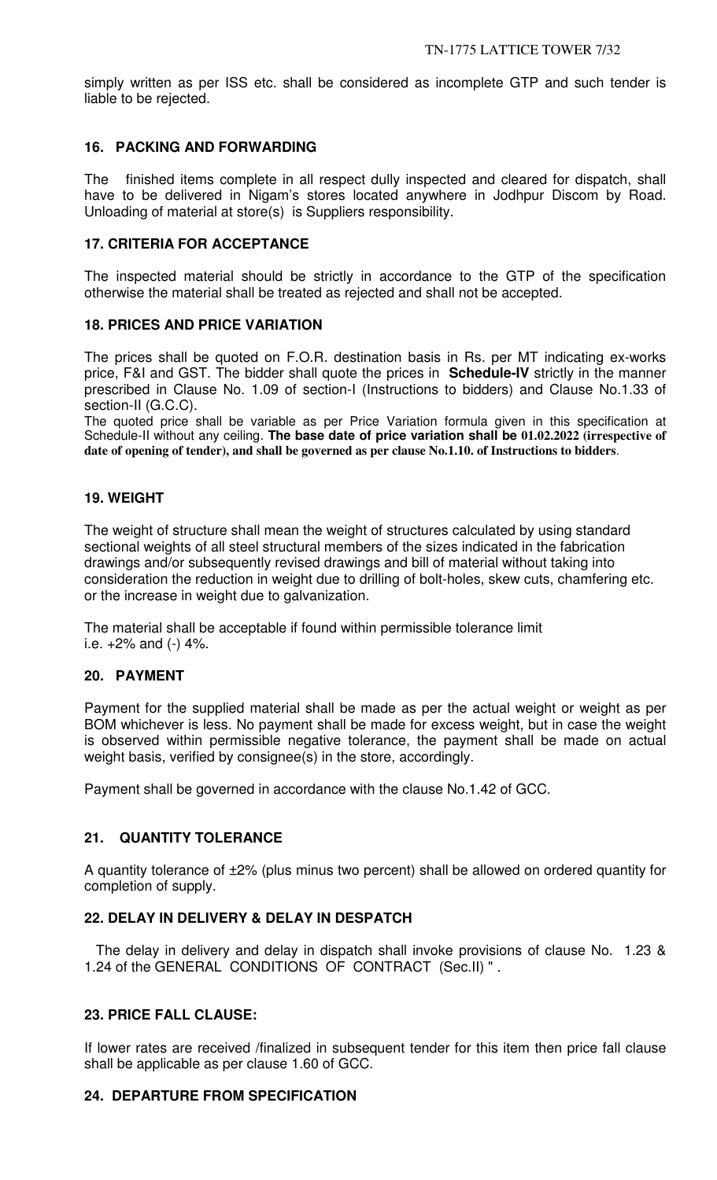simply written as per ISS etc. shall be considered as incomplete GTP and such tender is liable to be rejected.

## **16. PACKING AND FORWARDING**

The finished items complete in all respect dully inspected and cleared for dispatch, shall have to be delivered in Nigam's stores located anywhere in Jodhpur Discom by Road. Unloading of material at store(s) is Suppliers responsibility.

## **17. CRITERIA FOR ACCEPTANCE**

The inspected material should be strictly in accordance to the GTP of the specification otherwise the material shall be treated as rejected and shall not be accepted.

## **18. PRICES AND PRICE VARIATION**

The prices shall be quoted on F.O.R. destination basis in Rs. per MT indicating ex-works price, F&I and GST. The bidder shall quote the prices in **Schedule-IV** strictly in the manner prescribed in Clause No. 1.09 of section-I (Instructions to bidders) and Clause No.1.33 of section-II (G.C.C).

The quoted price shall be variable as per Price Variation formula given in this specification at Schedule-II without any ceiling. **The base date of price variation shall be 01.02.2022 (irrespective of date of opening of tender), and shall be governed as per clause No.1.10. of Instructions to bidders**.

## **19. WEIGHT**

The weight of structure shall mean the weight of structures calculated by using standard sectional weights of all steel structural members of the sizes indicated in the fabrication drawings and/or subsequently revised drawings and bill of material without taking into consideration the reduction in weight due to drilling of bolt-holes, skew cuts, chamfering etc. or the increase in weight due to galvanization.

The material shall be acceptable if found within permissible tolerance limit i.e.  $+2\%$  and (-) 4%.

## **20. PAYMENT**

Payment for the supplied material shall be made as per the actual weight or weight as per BOM whichever is less. No payment shall be made for excess weight, but in case the weight is observed within permissible negative tolerance, the payment shall be made on actual weight basis, verified by consignee(s) in the store, accordingly.

Payment shall be governed in accordance with the clause No.1.42 of GCC.

## **21. QUANTITY TOLERANCE**

A quantity tolerance of ±2% (plus minus two percent) shall be allowed on ordered quantity for completion of supply.

## **22. DELAY IN DELIVERY & DELAY IN DESPATCH**

 The delay in delivery and delay in dispatch shall invoke provisions of clause No. 1.23 & 1.24 of the GENERAL CONDITIONS OF CONTRACT (Sec.II) " .

## **23. PRICE FALL CLAUSE:**

If lower rates are received /finalized in subsequent tender for this item then price fall clause shall be applicable as per clause 1.60 of GCC.

## **24. DEPARTURE FROM SPECIFICATION**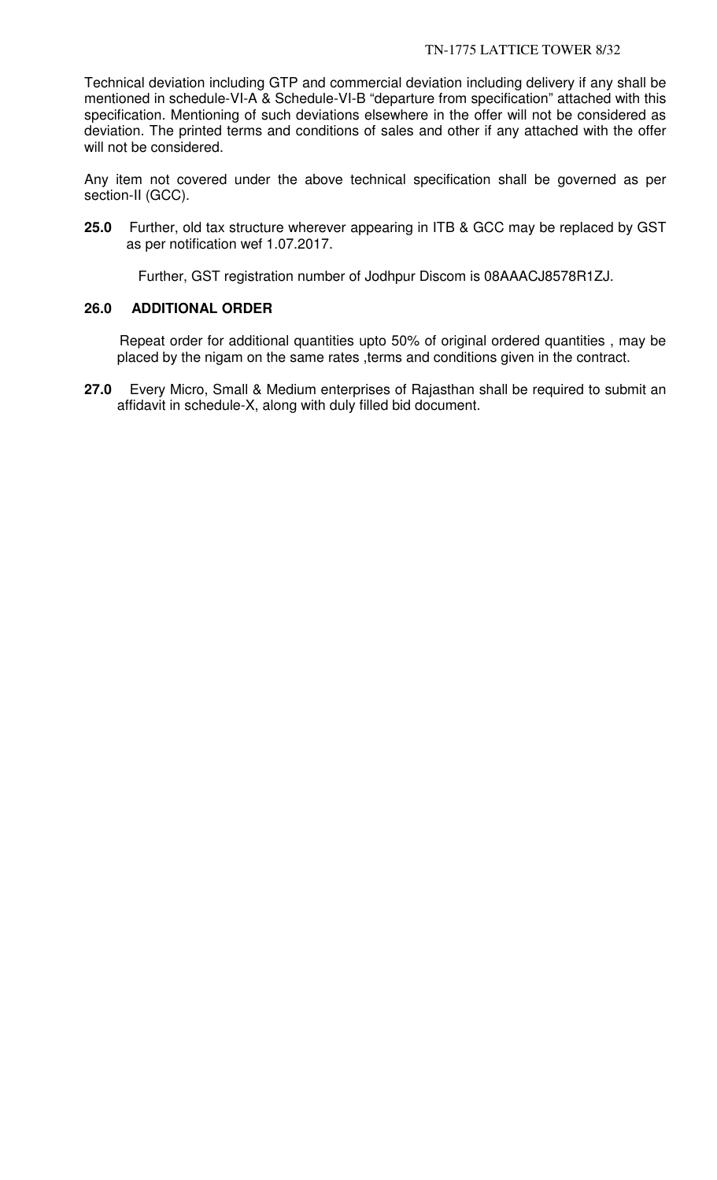Technical deviation including GTP and commercial deviation including delivery if any shall be mentioned in schedule-VI-A & Schedule-VI-B "departure from specification" attached with this specification. Mentioning of such deviations elsewhere in the offer will not be considered as deviation. The printed terms and conditions of sales and other if any attached with the offer will not be considered.

Any item not covered under the above technical specification shall be governed as per section-II (GCC).

**25.0** Further, old tax structure wherever appearing in ITB & GCC may be replaced by GST as per notification wef 1.07.2017.

Further, GST registration number of Jodhpur Discom is 08AAACJ8578R1ZJ.

## **26.0 ADDITIONAL ORDER**

 Repeat order for additional quantities upto 50% of original ordered quantities , may be placed by the nigam on the same rates ,terms and conditions given in the contract.

**27.0** Every Micro, Small & Medium enterprises of Rajasthan shall be required to submit an affidavit in schedule-X, along with duly filled bid document.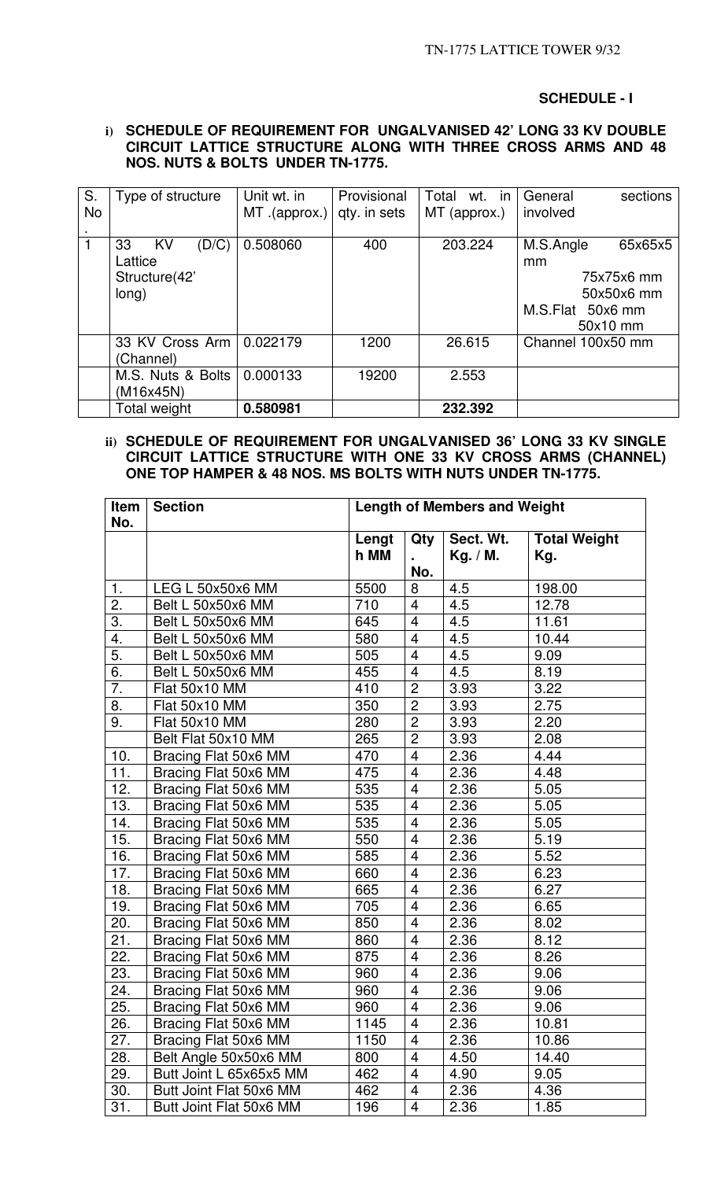#### **SCHEDULE - I**

#### **i) SCHEDULE OF REQUIREMENT FOR UNGALVANISED 42' LONG 33 KV DOUBLE CIRCUIT LATTICE STRUCTURE ALONG WITH THREE CROSS ARMS AND 48 NOS. NUTS & BOLTS UNDER TN-1775.**

| S.        | Type of structure        | Unit wt. in   | Provisional  | Total<br>wt. in | sections<br>General  |
|-----------|--------------------------|---------------|--------------|-----------------|----------------------|
| <b>No</b> |                          | MT .(approx.) | qty. in sets | MT (approx.)    | involved             |
|           |                          |               |              |                 |                      |
|           | (D/C)<br>33<br><b>KV</b> | 0.508060      | 400          | 203.224         | M.S.Angle<br>65x65x5 |
|           | Lattice                  |               |              |                 | mm                   |
|           | Structure(42'            |               |              |                 | 75x75x6 mm           |
|           | long)                    |               |              |                 | 50x50x6 mm           |
|           |                          |               |              |                 | M.S.Flat 50x6 mm     |
|           |                          |               |              |                 | 50x10 mm             |
|           | 33 KV Cross Arm I        | 0.022179      | 1200         | 26.615          | Channel 100x50 mm    |
|           | (Channel)                |               |              |                 |                      |
|           | M.S. Nuts & Bolts        | 0.000133      | 19200        | 2.553           |                      |
|           | (M16x45N)                |               |              |                 |                      |
|           | <b>Total weight</b>      | 0.580981      |              | 232.392         |                      |

## **ii) SCHEDULE OF REQUIREMENT FOR UNGALVANISED 36' LONG 33 KV SINGLE CIRCUIT LATTICE STRUCTURE WITH ONE 33 KV CROSS ARMS (CHANNEL) ONE TOP HAMPER & 48 NOS. MS BOLTS WITH NUTS UNDER TN-1775.**

| <b>Length of Members and Weight</b><br>Item<br><b>Section</b><br>No. |                         |               |                          |                       |                            |
|----------------------------------------------------------------------|-------------------------|---------------|--------------------------|-----------------------|----------------------------|
|                                                                      |                         | Lengt<br>h MM | Qty                      | Sect. Wt.<br>Kg. / M. | <b>Total Weight</b><br>Kg. |
|                                                                      |                         |               | No.                      |                       |                            |
| 1.                                                                   | LEG L 50x50x6 MM        | 5500          | 8                        | 4.5                   | 198.00                     |
| 2.                                                                   | Belt L 50x50x6 MM       | 710           | $\overline{\mathbf{4}}$  | 4.5                   | 12.78                      |
| 3.                                                                   | Belt L 50x50x6 MM       | 645           | $\overline{\mathbf{4}}$  | 4.5                   | 11.61                      |
| 4.                                                                   | Belt L 50x50x6 MM       | 580           | $\overline{\mathbf{4}}$  | 4.5                   | 10.44                      |
| $\overline{5}$ .                                                     | Belt L 50x50x6 MM       | 505           | $\overline{4}$           | 4.5                   | 9.09                       |
| 6.                                                                   | Belt L 50x50x6 MM       | 455           | $\overline{4}$           | 4.5                   | 8.19                       |
| $\overline{7}$ .                                                     | Flat 50x10 MM           | 410           | $\overline{c}$           | 3.93                  | 3.22                       |
| 8.                                                                   | Flat 50x10 MM           | 350           | $\overline{2}$           | 3.93                  | 2.75                       |
| 9.                                                                   | Flat 50x10 MM           | 280           | $\overline{2}$           | 3.93                  | 2.20                       |
|                                                                      | Belt Flat 50x10 MM      | 265           | $\overline{2}$           | 3.93                  | 2.08                       |
| 10.                                                                  | Bracing Flat 50x6 MM    | 470           | $\overline{\mathbf{4}}$  | 2.36                  | 4.44                       |
| 11.                                                                  | Bracing Flat 50x6 MM    | 475           | $\overline{\mathbf{4}}$  | 2.36                  | 4.48                       |
| 12.                                                                  | Bracing Flat 50x6 MM    | 535           | $\overline{\mathcal{A}}$ | 2.36                  | 5.05                       |
| 13.                                                                  | Bracing Flat 50x6 MM    | 535           | $\overline{4}$           | 2.36                  | 5.05                       |
| 14.                                                                  | Bracing Flat 50x6 MM    | 535           | 4                        | 2.36                  | 5.05                       |
| 15.                                                                  | Bracing Flat 50x6 MM    | 550           | $\overline{\mathbf{4}}$  | 2.36                  | 5.19                       |
| 16.                                                                  | Bracing Flat 50x6 MM    | 585           | $\overline{\mathbf{4}}$  | 2.36                  | 5.52                       |
| 17.                                                                  | Bracing Flat 50x6 MM    | 660           | $\overline{4}$           | 2.36                  | 6.23                       |
| 18.                                                                  | Bracing Flat 50x6 MM    | 665           | $\overline{\mathbf{4}}$  | 2.36                  | 6.27                       |
| 19.                                                                  | Bracing Flat 50x6 MM    | 705           | $\overline{\mathbf{4}}$  | 2.36                  | 6.65                       |
| 20.                                                                  | Bracing Flat 50x6 MM    | 850           | $\overline{4}$           | 2.36                  | 8.02                       |
| 21.                                                                  | Bracing Flat 50x6 MM    | 860           | $\overline{4}$           | 2.36                  | 8.12                       |
| 22.                                                                  | Bracing Flat 50x6 MM    | 875           | $\overline{4}$           | 2.36                  | 8.26                       |
| 23.                                                                  | Bracing Flat 50x6 MM    | 960           | $\overline{4}$           | 2.36                  | 9.06                       |
| 24.                                                                  | Bracing Flat 50x6 MM    | 960           | $\overline{4}$           | 2.36                  | 9.06                       |
| 25.                                                                  | Bracing Flat 50x6 MM    | 960           | $\overline{\mathbf{4}}$  | 2.36                  | 9.06                       |
| 26.                                                                  | Bracing Flat 50x6 MM    | 1145          | $\overline{\mathbf{4}}$  | 2.36                  | 10.81                      |
| 27.                                                                  | Bracing Flat 50x6 MM    | 1150          | 4                        | 2.36                  | 10.86                      |
| 28.                                                                  | Belt Angle 50x50x6 MM   | 800           | $\overline{\mathbf{4}}$  | 4.50                  | 14.40                      |
| 29.                                                                  | Butt Joint L 65x65x5 MM | 462           | $\overline{\mathbf{4}}$  | 4.90                  | 9.05                       |
| 30.                                                                  | Butt Joint Flat 50x6 MM | 462           | 4                        | 2.36                  | 4.36                       |
| 31.                                                                  | Butt Joint Flat 50x6 MM | 196           | 4                        | 2.36                  | 1.85                       |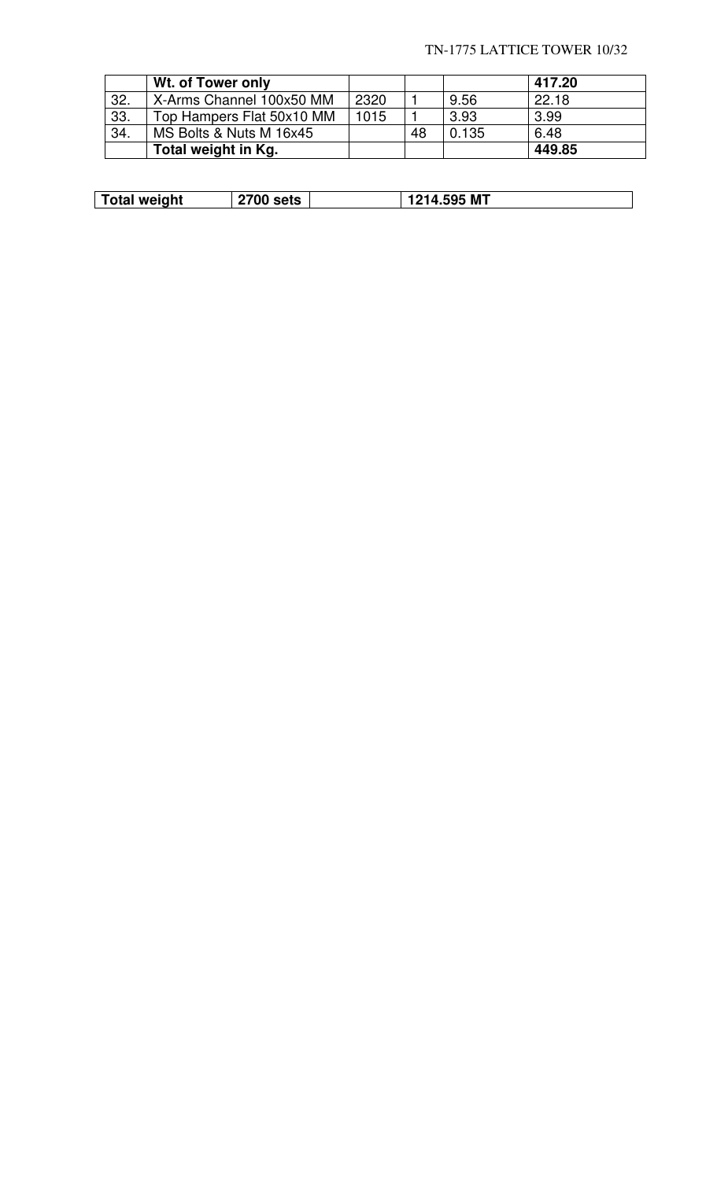## TN-1775 LATTICE TOWER 10/32

|     | Wt. of Tower only         |      |    |       | 417.20 |
|-----|---------------------------|------|----|-------|--------|
| 32. | X-Arms Channel 100x50 MM  | 2320 |    | 9.56  | 22.18  |
| 33. | Top Hampers Flat 50x10 MM | 1015 |    | 3.93  | 3.99   |
| 34. | MS Bolts & Nuts M 16x45   |      | 48 | 0.135 | 6.48   |
|     | Total weight in Kg.       |      |    |       | 449.85 |

| <b>Total weight</b> | ate.<br>US | <b>I.595 MT</b> |
|---------------------|------------|-----------------|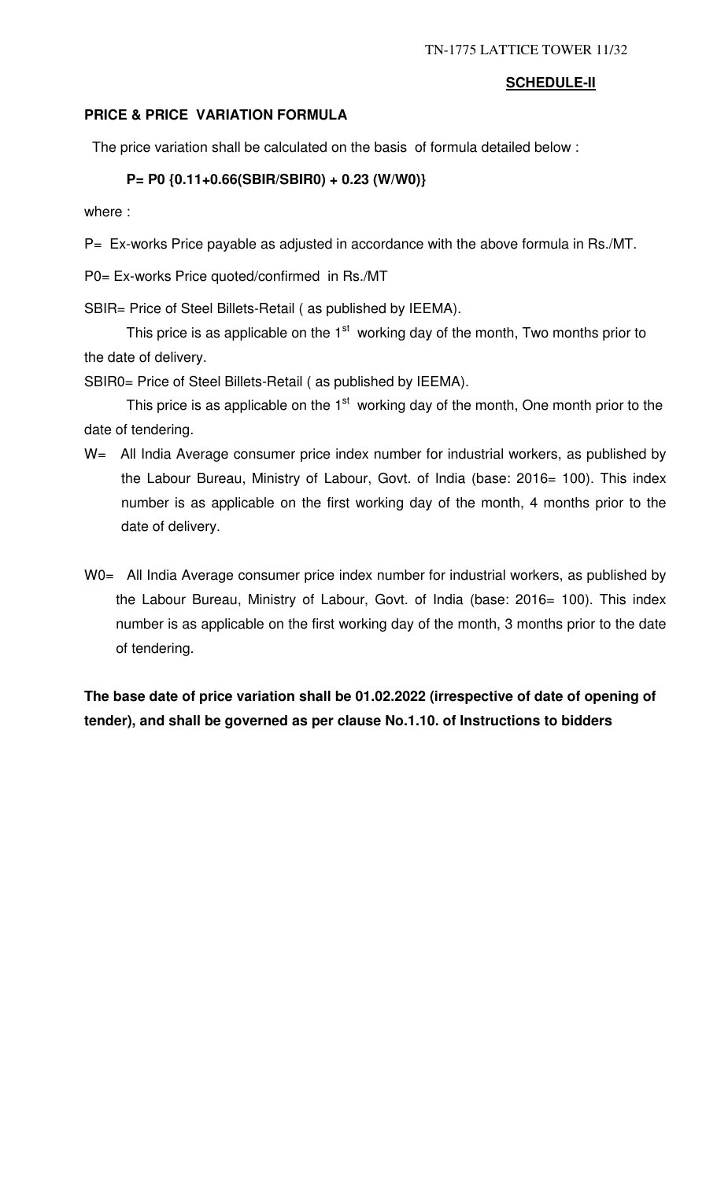## **SCHEDULE-II**

# **PRICE & PRICE VARIATION FORMULA**

The price variation shall be calculated on the basis of formula detailed below :

# **P= P0 {0.11+0.66(SBIR/SBIR0) + 0.23 (W/W0)}**

where :

P= Ex-works Price payable as adjusted in accordance with the above formula in Rs./MT.

P0= Ex-works Price quoted/confirmed in Rs./MT

SBIR= Price of Steel Billets-Retail ( as published by IEEMA).

This price is as applicable on the  $1<sup>st</sup>$  working day of the month, Two months prior to the date of delivery.

SBIR0= Price of Steel Billets-Retail ( as published by IEEMA).

This price is as applicable on the  $1<sup>st</sup>$  working day of the month, One month prior to the date of tendering.

- W= All India Average consumer price index number for industrial workers, as published by the Labour Bureau, Ministry of Labour, Govt. of India (base: 2016= 100). This index number is as applicable on the first working day of the month, 4 months prior to the date of delivery.
- W0= All India Average consumer price index number for industrial workers, as published by the Labour Bureau, Ministry of Labour, Govt. of India (base: 2016= 100). This index number is as applicable on the first working day of the month, 3 months prior to the date of tendering.

**The base date of price variation shall be 01.02.2022 (irrespective of date of opening of tender), and shall be governed as per clause No.1.10. of Instructions to bidders**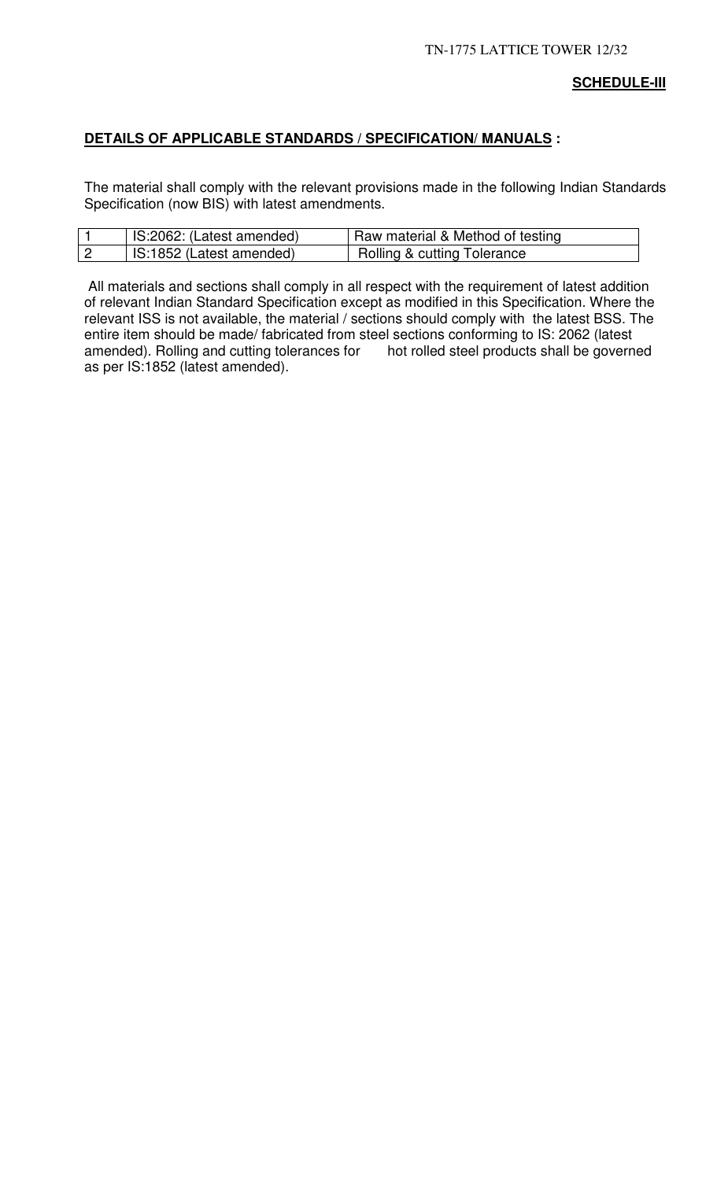# **DETAILS OF APPLICABLE STANDARDS / SPECIFICATION/ MANUALS :**

The material shall comply with the relevant provisions made in the following Indian Standards Specification (now BIS) with latest amendments.

| IS:2062: (Latest amended) | Raw material & Method of testing       |
|---------------------------|----------------------------------------|
| IS:1852 (Latest amended)  | <b>Rolling &amp; cutting Tolerance</b> |

 All materials and sections shall comply in all respect with the requirement of latest addition of relevant Indian Standard Specification except as modified in this Specification. Where the relevant ISS is not available, the material / sections should comply with the latest BSS. The entire item should be made/ fabricated from steel sections conforming to IS: 2062 (latest amended). Rolling and cutting tolerances for hot rolled steel products shall be governed as per IS:1852 (latest amended).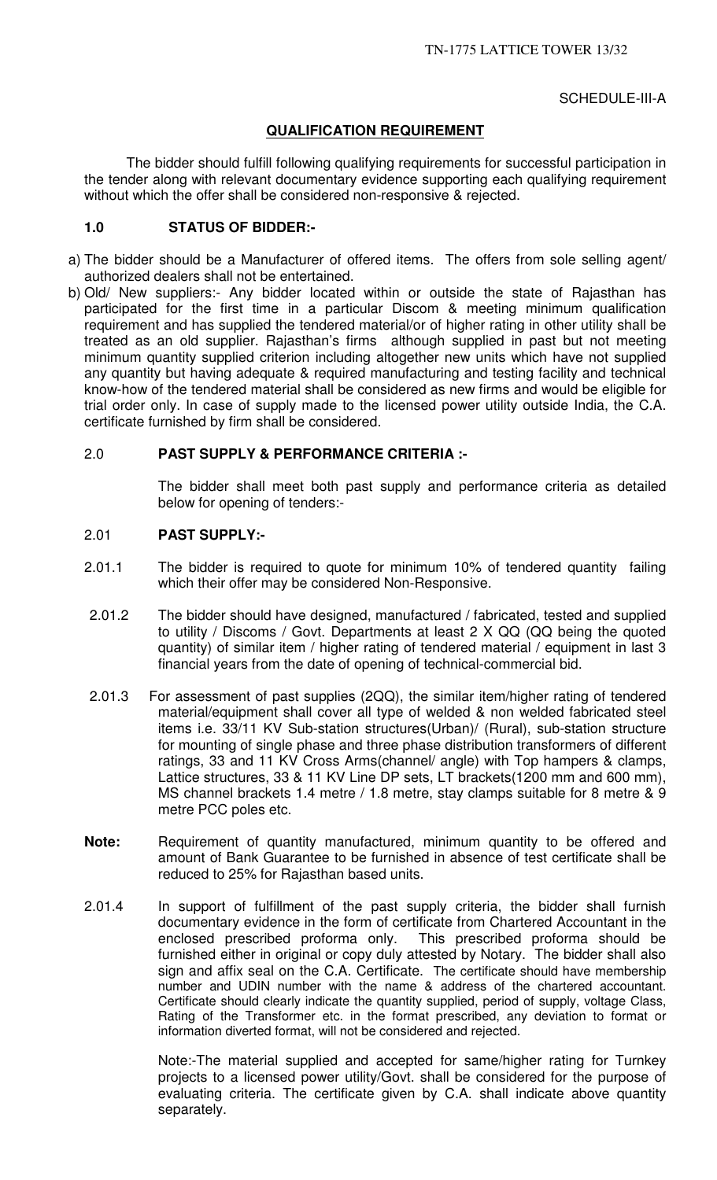## SCHEDULE-III-A

## **QUALIFICATION REQUIREMENT**

The bidder should fulfill following qualifying requirements for successful participation in the tender along with relevant documentary evidence supporting each qualifying requirement without which the offer shall be considered non-responsive & rejected.

## **1.0 STATUS OF BIDDER:-**

- a) The bidder should be a Manufacturer of offered items. The offers from sole selling agent/ authorized dealers shall not be entertained.
- b) Old/ New suppliers:- Any bidder located within or outside the state of Rajasthan has participated for the first time in a particular Discom & meeting minimum qualification requirement and has supplied the tendered material/or of higher rating in other utility shall be treated as an old supplier. Rajasthan's firms although supplied in past but not meeting minimum quantity supplied criterion including altogether new units which have not supplied any quantity but having adequate & required manufacturing and testing facility and technical know-how of the tendered material shall be considered as new firms and would be eligible for trial order only. In case of supply made to the licensed power utility outside India, the C.A. certificate furnished by firm shall be considered.

## 2.0 **PAST SUPPLY & PERFORMANCE CRITERIA :-**

 The bidder shall meet both past supply and performance criteria as detailed below for opening of tenders:-

## 2.01 **PAST SUPPLY:-**

- 2.01.1 The bidder is required to quote for minimum 10% of tendered quantity failing which their offer may be considered Non-Responsive.
- 2.01.2 The bidder should have designed, manufactured / fabricated, tested and supplied to utility / Discoms / Govt. Departments at least 2 X QQ (QQ being the quoted quantity) of similar item / higher rating of tendered material / equipment in last 3 financial years from the date of opening of technical-commercial bid.
- 2.01.3 For assessment of past supplies (2QQ), the similar item/higher rating of tendered material/equipment shall cover all type of welded & non welded fabricated steel items i.e. 33/11 KV Sub-station structures(Urban)/ (Rural), sub-station structure for mounting of single phase and three phase distribution transformers of different ratings, 33 and 11 KV Cross Arms(channel/ angle) with Top hampers & clamps, Lattice structures, 33 & 11 KV Line DP sets, LT brackets(1200 mm and 600 mm), MS channel brackets 1.4 metre / 1.8 metre, stay clamps suitable for 8 metre & 9 metre PCC poles etc.
- **Note:** Requirement of quantity manufactured, minimum quantity to be offered and amount of Bank Guarantee to be furnished in absence of test certificate shall be reduced to 25% for Rajasthan based units.
- 2.01.4 In support of fulfillment of the past supply criteria, the bidder shall furnish documentary evidence in the form of certificate from Chartered Accountant in the enclosed prescribed proforma only. This prescribed proforma should be furnished either in original or copy duly attested by Notary. The bidder shall also sign and affix seal on the C.A. Certificate. The certificate should have membership number and UDIN number with the name & address of the chartered accountant. Certificate should clearly indicate the quantity supplied, period of supply, voltage Class, Rating of the Transformer etc. in the format prescribed, any deviation to format or information diverted format, will not be considered and rejected.

Note:-The material supplied and accepted for same/higher rating for Turnkey projects to a licensed power utility/Govt. shall be considered for the purpose of evaluating criteria. The certificate given by C.A. shall indicate above quantity separately.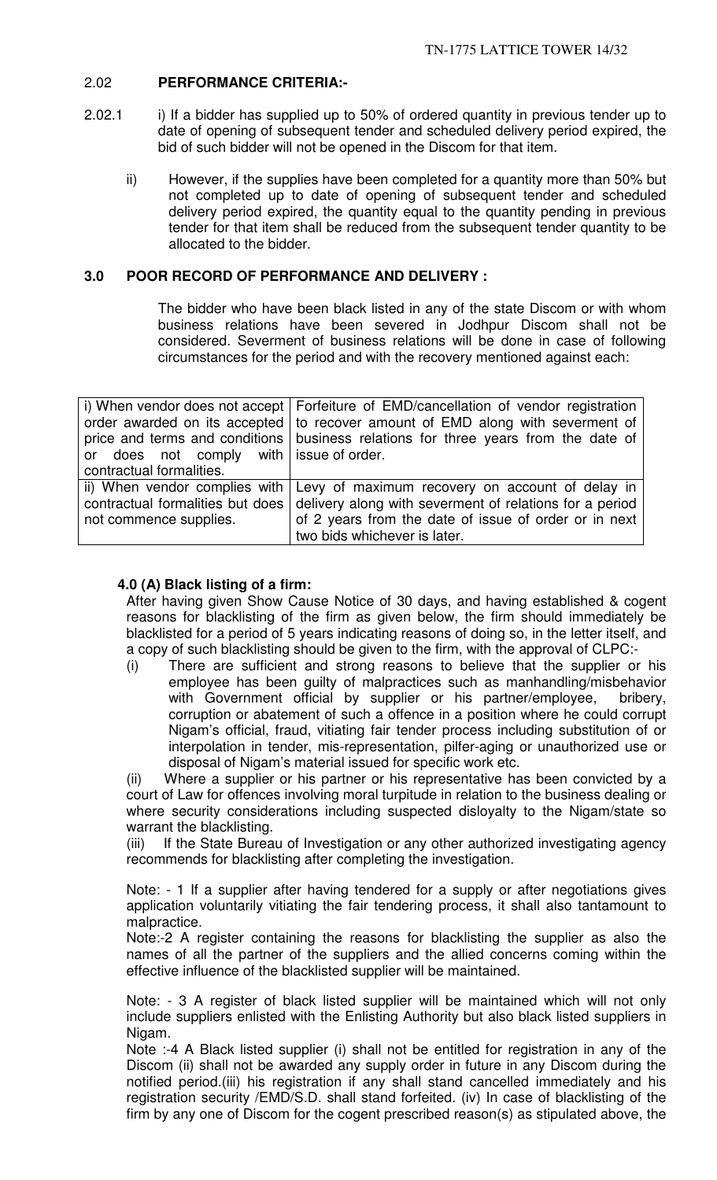## 2.02 **PERFORMANCE CRITERIA:-**

- 2.02.1 i) If a bidder has supplied up to 50% of ordered quantity in previous tender up to date of opening of subsequent tender and scheduled delivery period expired, the bid of such bidder will not be opened in the Discom for that item.
	- ii) However, if the supplies have been completed for a quantity more than 50% but not completed up to date of opening of subsequent tender and scheduled delivery period expired, the quantity equal to the quantity pending in previous tender for that item shall be reduced from the subsequent tender quantity to be allocated to the bidder.

## **3.0 POOR RECORD OF PERFORMANCE AND DELIVERY :**

The bidder who have been black listed in any of the state Discom or with whom business relations have been severed in Jodhpur Discom shall not be considered. Severment of business relations will be done in case of following circumstances for the period and with the recovery mentioned against each:

|                                         | i) When vendor does not accept   Forfeiture of EMD/cancellation of vendor registration |
|-----------------------------------------|----------------------------------------------------------------------------------------|
|                                         | order awarded on its accepted   to recover amount of EMD along with severment of       |
|                                         | price and terms and conditions   business relations for three years from the date of   |
| or does not comply with issue of order. |                                                                                        |
| contractual formalities.                |                                                                                        |
|                                         | ii) When vendor complies with Levy of maximum recovery on account of delay in          |
| contractual formalities but does        | delivery along with severment of relations for a period                                |
| not commence supplies.                  | of 2 years from the date of issue of order or in next                                  |
|                                         | two bids whichever is later.                                                           |

## **4.0 (A) Black listing of a firm:**

After having given Show Cause Notice of 30 days, and having established & cogent reasons for blacklisting of the firm as given below, the firm should immediately be blacklisted for a period of 5 years indicating reasons of doing so, in the letter itself, and a copy of such blacklisting should be given to the firm, with the approval of CLPC:-

(i) There are sufficient and strong reasons to believe that the supplier or his employee has been guilty of malpractices such as manhandling/misbehavior with Government official by supplier or his partner/employee, bribery, corruption or abatement of such a offence in a position where he could corrupt Nigam's official, fraud, vitiating fair tender process including substitution of or interpolation in tender, mis-representation, pilfer-aging or unauthorized use or disposal of Nigam's material issued for specific work etc.

(ii) Where a supplier or his partner or his representative has been convicted by a court of Law for offences involving moral turpitude in relation to the business dealing or where security considerations including suspected disloyalty to the Nigam/state so warrant the blacklisting.

(iii) If the State Bureau of Investigation or any other authorized investigating agency recommends for blacklisting after completing the investigation.

Note: - 1 If a supplier after having tendered for a supply or after negotiations gives application voluntarily vitiating the fair tendering process, it shall also tantamount to malpractice.

Note:-2 A register containing the reasons for blacklisting the supplier as also the names of all the partner of the suppliers and the allied concerns coming within the effective influence of the blacklisted supplier will be maintained.

Note: - 3 A register of black listed supplier will be maintained which will not only include suppliers enlisted with the Enlisting Authority but also black listed suppliers in Nigam.

Note :-4 A Black listed supplier (i) shall not be entitled for registration in any of the Discom (ii) shall not be awarded any supply order in future in any Discom during the notified period.(iii) his registration if any shall stand cancelled immediately and his registration security /EMD/S.D. shall stand forfeited. (iv) In case of blacklisting of the firm by any one of Discom for the cogent prescribed reason(s) as stipulated above, the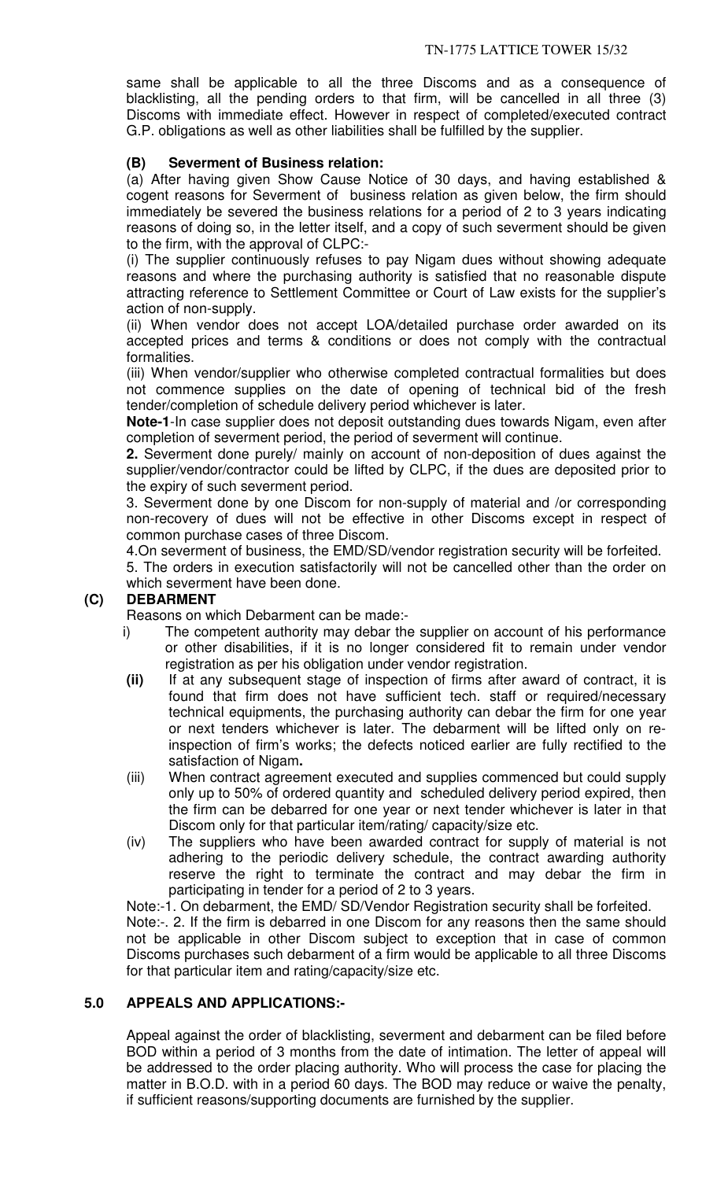same shall be applicable to all the three Discoms and as a consequence of blacklisting, all the pending orders to that firm, will be cancelled in all three (3) Discoms with immediate effect. However in respect of completed/executed contract G.P. obligations as well as other liabilities shall be fulfilled by the supplier.

# **(B) Severment of Business relation:**

(a) After having given Show Cause Notice of 30 days, and having established & cogent reasons for Severment of business relation as given below, the firm should immediately be severed the business relations for a period of 2 to 3 years indicating reasons of doing so, in the letter itself, and a copy of such severment should be given to the firm, with the approval of CLPC:-

(i) The supplier continuously refuses to pay Nigam dues without showing adequate reasons and where the purchasing authority is satisfied that no reasonable dispute attracting reference to Settlement Committee or Court of Law exists for the supplier's action of non-supply.

(ii) When vendor does not accept LOA/detailed purchase order awarded on its accepted prices and terms & conditions or does not comply with the contractual formalities.

(iii) When vendor/supplier who otherwise completed contractual formalities but does not commence supplies on the date of opening of technical bid of the fresh tender/completion of schedule delivery period whichever is later.

**Note-1**-In case supplier does not deposit outstanding dues towards Nigam, even after completion of severment period, the period of severment will continue.

**2.** Severment done purely/ mainly on account of non-deposition of dues against the supplier/vendor/contractor could be lifted by CLPC, if the dues are deposited prior to the expiry of such severment period.

3. Severment done by one Discom for non-supply of material and /or corresponding non-recovery of dues will not be effective in other Discoms except in respect of common purchase cases of three Discom.

4.On severment of business, the EMD/SD/vendor registration security will be forfeited.

5. The orders in execution satisfactorily will not be cancelled other than the order on which severment have been done.

# **(C) DEBARMENT**

Reasons on which Debarment can be made:-

- i) The competent authority may debar the supplier on account of his performance or other disabilities, if it is no longer considered fit to remain under vendor registration as per his obligation under vendor registration.
- **(ii)** If at any subsequent stage of inspection of firms after award of contract, it is found that firm does not have sufficient tech. staff or required/necessary technical equipments, the purchasing authority can debar the firm for one year or next tenders whichever is later. The debarment will be lifted only on reinspection of firm's works; the defects noticed earlier are fully rectified to the satisfaction of Nigam**.**
- (iii) When contract agreement executed and supplies commenced but could supply only up to 50% of ordered quantity and scheduled delivery period expired, then the firm can be debarred for one year or next tender whichever is later in that Discom only for that particular item/rating/ capacity/size etc.
- (iv) The suppliers who have been awarded contract for supply of material is not adhering to the periodic delivery schedule, the contract awarding authority reserve the right to terminate the contract and may debar the firm in participating in tender for a period of 2 to 3 years.

Note:-1. On debarment, the EMD/ SD/Vendor Registration security shall be forfeited. Note:-. 2. If the firm is debarred in one Discom for any reasons then the same should not be applicable in other Discom subject to exception that in case of common Discoms purchases such debarment of a firm would be applicable to all three Discoms for that particular item and rating/capacity/size etc.

## **5.0 APPEALS AND APPLICATIONS:-**

Appeal against the order of blacklisting, severment and debarment can be filed before BOD within a period of 3 months from the date of intimation. The letter of appeal will be addressed to the order placing authority. Who will process the case for placing the matter in B.O.D. with in a period 60 days. The BOD may reduce or waive the penalty, if sufficient reasons/supporting documents are furnished by the supplier.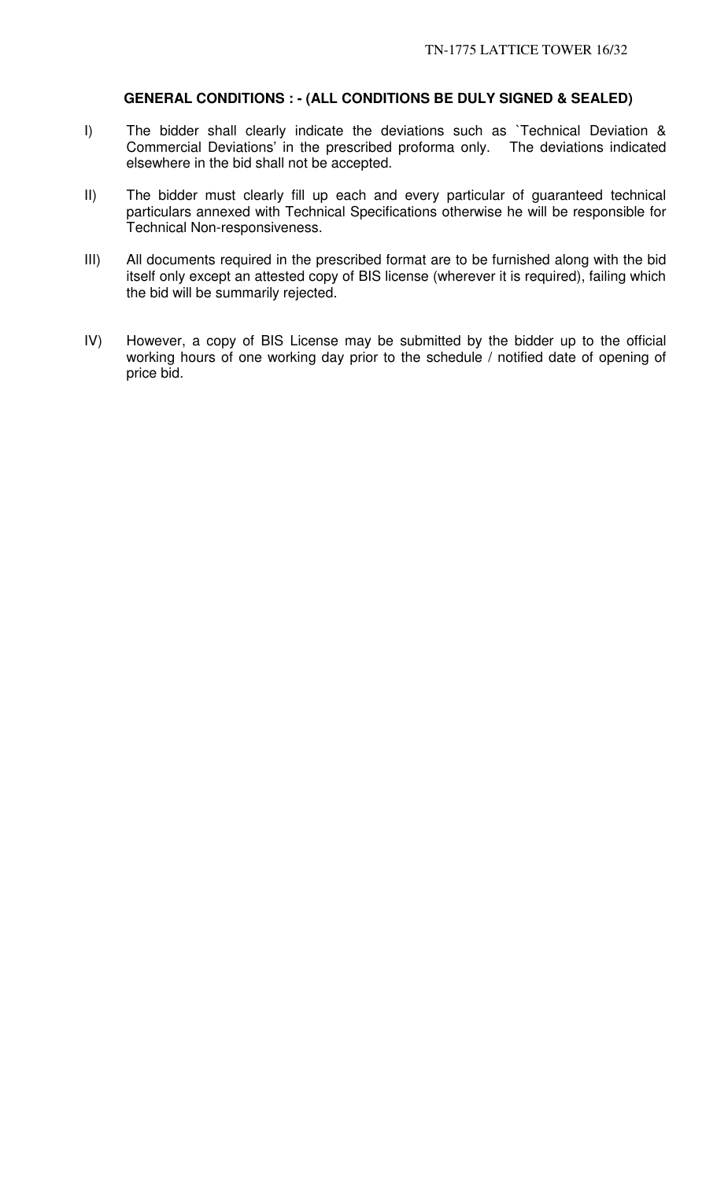## **GENERAL CONDITIONS : - (ALL CONDITIONS BE DULY SIGNED & SEALED)**

- I) The bidder shall clearly indicate the deviations such as `Technical Deviation & Commercial Deviations' in the prescribed proforma only. The deviations indicated elsewhere in the bid shall not be accepted.
- II) The bidder must clearly fill up each and every particular of guaranteed technical particulars annexed with Technical Specifications otherwise he will be responsible for Technical Non-responsiveness.
- III) All documents required in the prescribed format are to be furnished along with the bid itself only except an attested copy of BIS license (wherever it is required), failing which the bid will be summarily rejected.
- IV) However, a copy of BIS License may be submitted by the bidder up to the official working hours of one working day prior to the schedule / notified date of opening of price bid.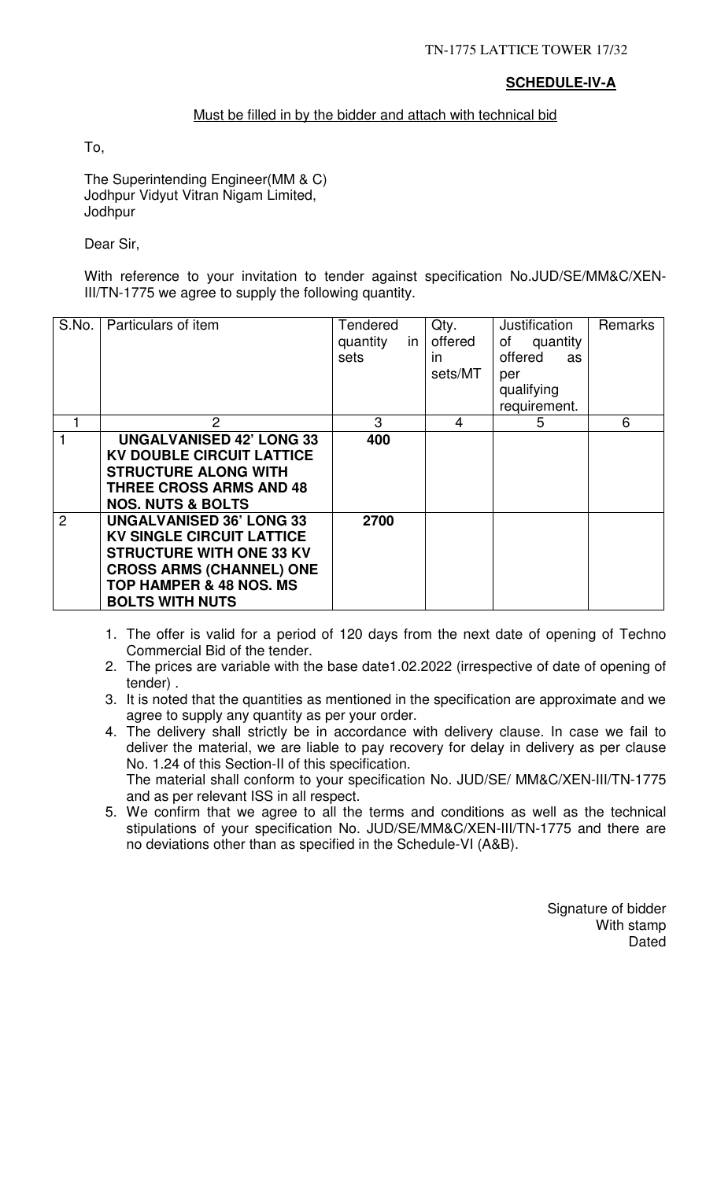# **SCHEDULE-IV-A**

## Must be filled in by the bidder and attach with technical bid

To,

The Superintending Engineer(MM & C) Jodhpur Vidyut Vitran Nigam Limited, Jodhpur

Dear Sir,

With reference to your invitation to tender against specification No.JUD/SE/MM&C/XEN-III/TN-1775 we agree to supply the following quantity.

| S.No. | Particulars of item                                                                                                                                                                                       | <b>Tendered</b><br>quantity<br><i>in</i><br>sets | Qty.<br>offered<br>in.<br>sets/MT | Justification<br>of quantity<br>offered<br>as<br>per<br>qualifying<br>requirement. | Remarks |
|-------|-----------------------------------------------------------------------------------------------------------------------------------------------------------------------------------------------------------|--------------------------------------------------|-----------------------------------|------------------------------------------------------------------------------------|---------|
|       | 2                                                                                                                                                                                                         | 3                                                | 4                                 | 5                                                                                  | 6       |
|       | <b>UNGALVANISED 42' LONG 33</b><br><b>KV DOUBLE CIRCUIT LATTICE</b><br><b>STRUCTURE ALONG WITH</b><br><b>THREE CROSS ARMS AND 48</b><br><b>NOS. NUTS &amp; BOLTS</b>                                      | 400                                              |                                   |                                                                                    |         |
| 2     | <b>UNGALVANISED 36' LONG 33</b><br><b>KV SINGLE CIRCUIT LATTICE</b><br><b>STRUCTURE WITH ONE 33 KV</b><br><b>CROSS ARMS (CHANNEL) ONE</b><br><b>TOP HAMPER &amp; 48 NOS. MS</b><br><b>BOLTS WITH NUTS</b> | 2700                                             |                                   |                                                                                    |         |

- 1. The offer is valid for a period of 120 days from the next date of opening of Techno Commercial Bid of the tender.
- 2. The prices are variable with the base date1.02.2022 (irrespective of date of opening of tender) .
- 3. It is noted that the quantities as mentioned in the specification are approximate and we agree to supply any quantity as per your order.
- 4. The delivery shall strictly be in accordance with delivery clause. In case we fail to deliver the material, we are liable to pay recovery for delay in delivery as per clause No. 1.24 of this Section-II of this specification. The material shall conform to your specification No. JUD/SE/ MM&C/XEN-III/TN-1775 and as per relevant ISS in all respect.
- 5. We confirm that we agree to all the terms and conditions as well as the technical stipulations of your specification No. JUD/SE/MM&C/XEN-III/TN-1775 and there are no deviations other than as specified in the Schedule-VI (A&B).

Signature of bidder With stamp **Dated**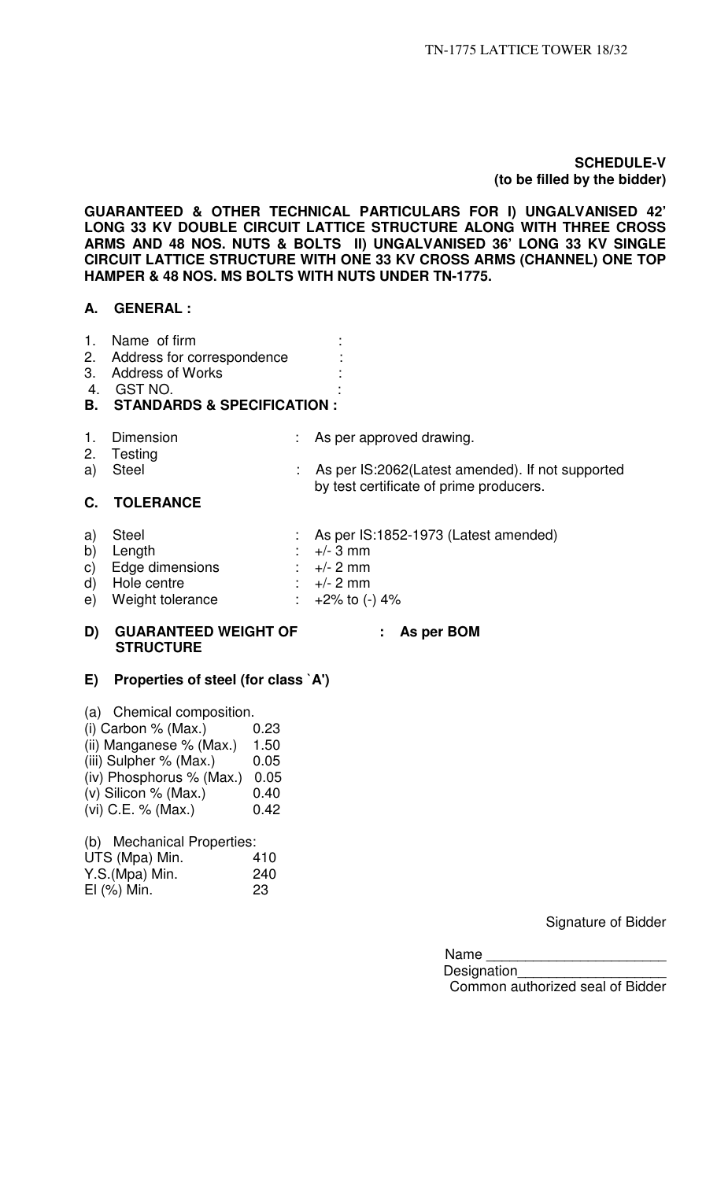## **SCHEDULE-V (to be filled by the bidder)**

**GUARANTEED & OTHER TECHNICAL PARTICULARS FOR I) UNGALVANISED 42' LONG 33 KV DOUBLE CIRCUIT LATTICE STRUCTURE ALONG WITH THREE CROSS ARMS AND 48 NOS. NUTS & BOLTS II) UNGALVANISED 36' LONG 33 KV SINGLE CIRCUIT LATTICE STRUCTURE WITH ONE 33 KV CROSS ARMS (CHANNEL) ONE TOP HAMPER & 48 NOS. MS BOLTS WITH NUTS UNDER TN-1775.** 

## **A. GENERAL :**

- 1. Name of firm :
- 2. Address for correspondence :
- 3. Address of Works
- 4. GST NO.

## **B. STANDARDS & SPECIFICATION :**

- 
- 1. Dimension : As per approved drawing.
- 2. Testing<br>a) Steel : As per IS:2062(Latest amended). If not supported by test certificate of prime producers. **C. TOLERANCE**
- a) Steel : As per IS:1852-1973 (Latest amended) b) Length  $\vdots$   $+/- 3$  mm  $\vdots$  Edge dimensions  $\vdots$   $+/- 2$  mm c) Edge dimensions : +/- 2 mm<br>d) Hole centre : +/- 2 mm d) Hole centre
- e) Weight tolerance  $\therefore$  +2% to (-) 4%

## **D) GUARANTEED WEIGHT OF : As per BOM STRUCTURE**

## **E) Properties of steel (for class `A')**

- (a) Chemical composition.
- (i) Carbon % (Max.)  $0.23$
- (ii) Manganese  $%$  (Max.) 1.50
- (iii) Sulpher  $%$  (Max.)  $0.05$
- (iv) Phosphorus % (Max.) 0.05
- (v) Silicon % (Max.)  $0.40$
- (vi) C.E. % (Max.)  $0.42$

(b) Mechanical Properties:

| UTS (Mpa) Min.   | 410 |
|------------------|-----|
| Y.S.(Mpa) Min.   | 240 |
| $El$ $(\%)$ Min. | 23  |

Signature of Bidder

Name

Designation Common authorized seal of Bidder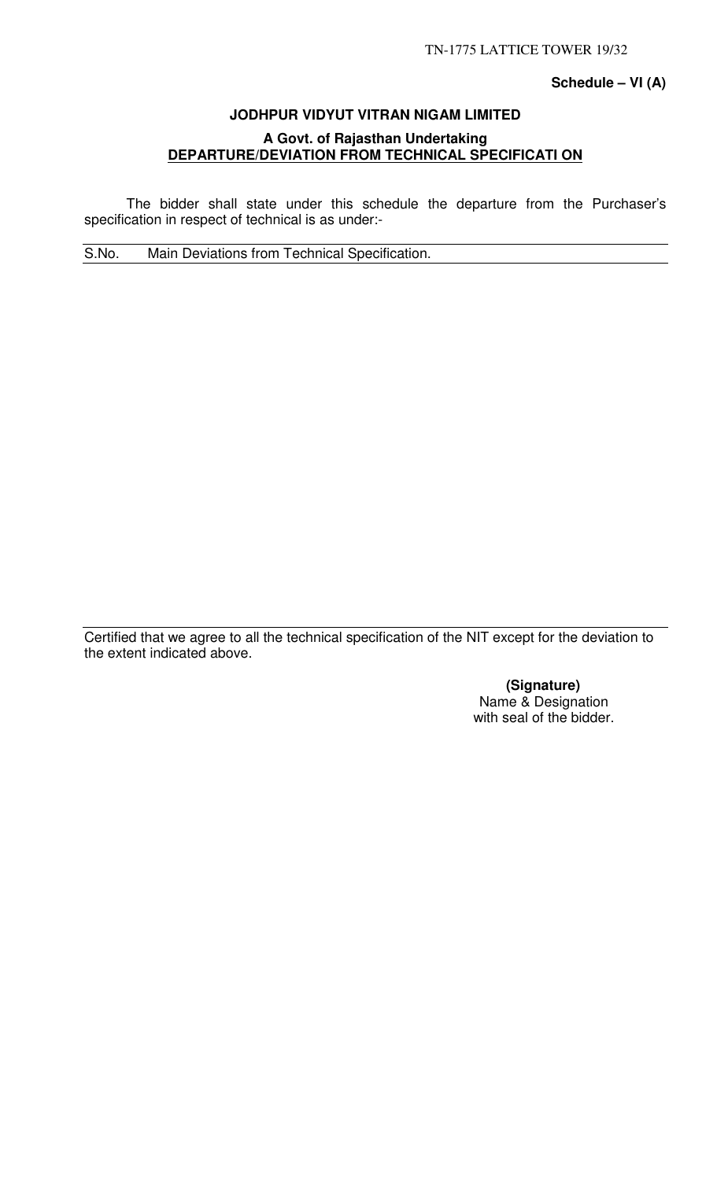## **Schedule – VI (A)**

# **JODHPUR VIDYUT VITRAN NIGAM LIMITED A Govt. of Rajasthan Undertaking DEPARTURE/DEVIATION FROM TECHNICAL SPECIFICATI ON**

 The bidder shall state under this schedule the departure from the Purchaser's specification in respect of technical is as under:-

S.No. Main Deviations from Technical Specification.

Certified that we agree to all the technical specification of the NIT except for the deviation to the extent indicated above.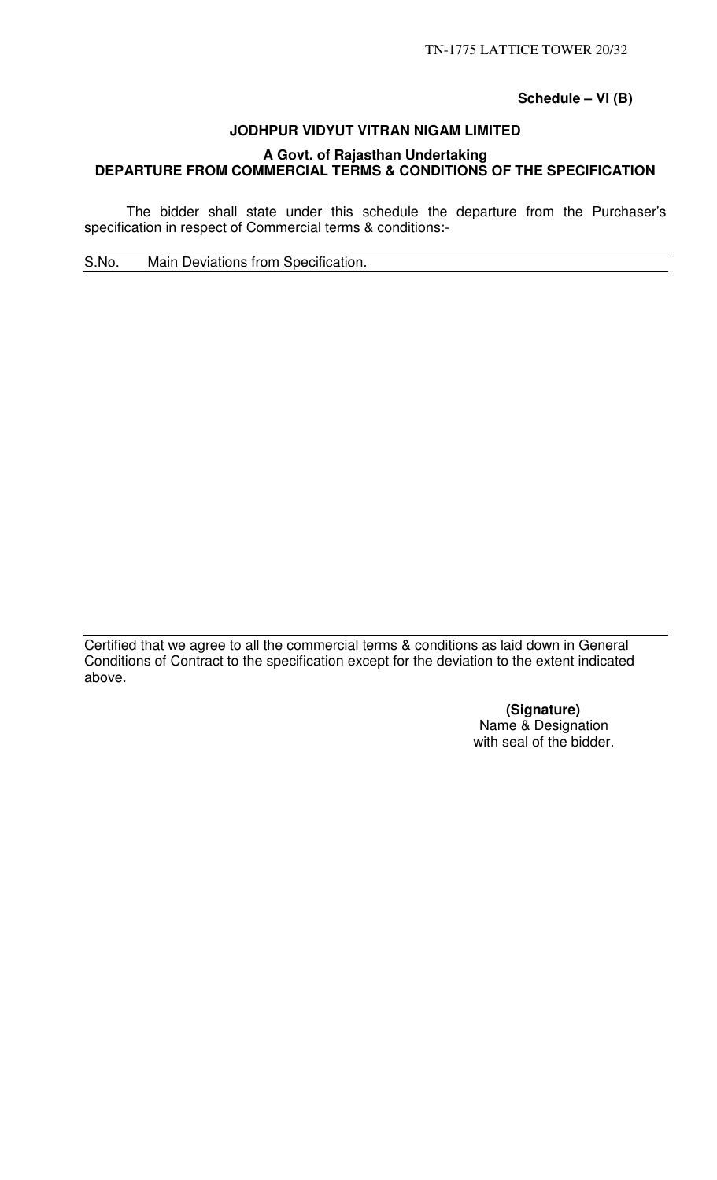**Schedule – VI (B)** 

# **JODHPUR VIDYUT VITRAN NIGAM LIMITED A Govt. of Rajasthan Undertaking DEPARTURE FROM COMMERCIAL TERMS & CONDITIONS OF THE SPECIFICATION**

 The bidder shall state under this schedule the departure from the Purchaser's specification in respect of Commercial terms & conditions:-

S.No. Main Deviations from Specification.

Certified that we agree to all the commercial terms & conditions as laid down in General Conditions of Contract to the specification except for the deviation to the extent indicated above.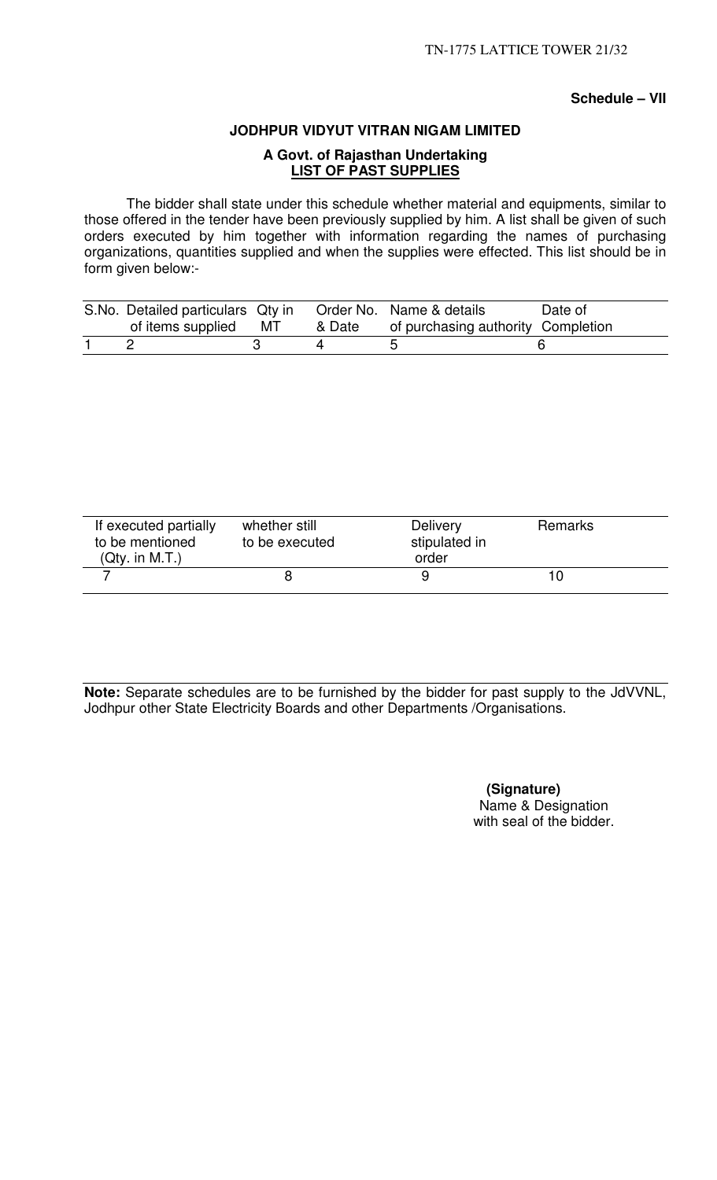## **Schedule – VII**

## **JODHPUR VIDYUT VITRAN NIGAM LIMITED**

# **A Govt. of Rajasthan Undertaking LIST OF PAST SUPPLIES**

 The bidder shall state under this schedule whether material and equipments, similar to those offered in the tender have been previously supplied by him. A list shall be given of such orders executed by him together with information regarding the names of purchasing organizations, quantities supplied and when the supplies were effected. This list should be in form given below:-

| S.No. Detailed particulars Qty in |        | Order No. Name & details           | Date of |
|-----------------------------------|--------|------------------------------------|---------|
| of items supplied MT              | & Date | of purchasing authority Completion |         |
|                                   |        |                                    |         |

| If executed partially<br>to be mentioned<br>(Qty. in M.T.) | whether still<br>to be executed | <b>Delivery</b><br>stipulated in<br>order | <b>Remarks</b> |  |
|------------------------------------------------------------|---------------------------------|-------------------------------------------|----------------|--|
|                                                            |                                 |                                           |                |  |

**Note:** Separate schedules are to be furnished by the bidder for past supply to the JdVVNL, Jodhpur other State Electricity Boards and other Departments /Organisations.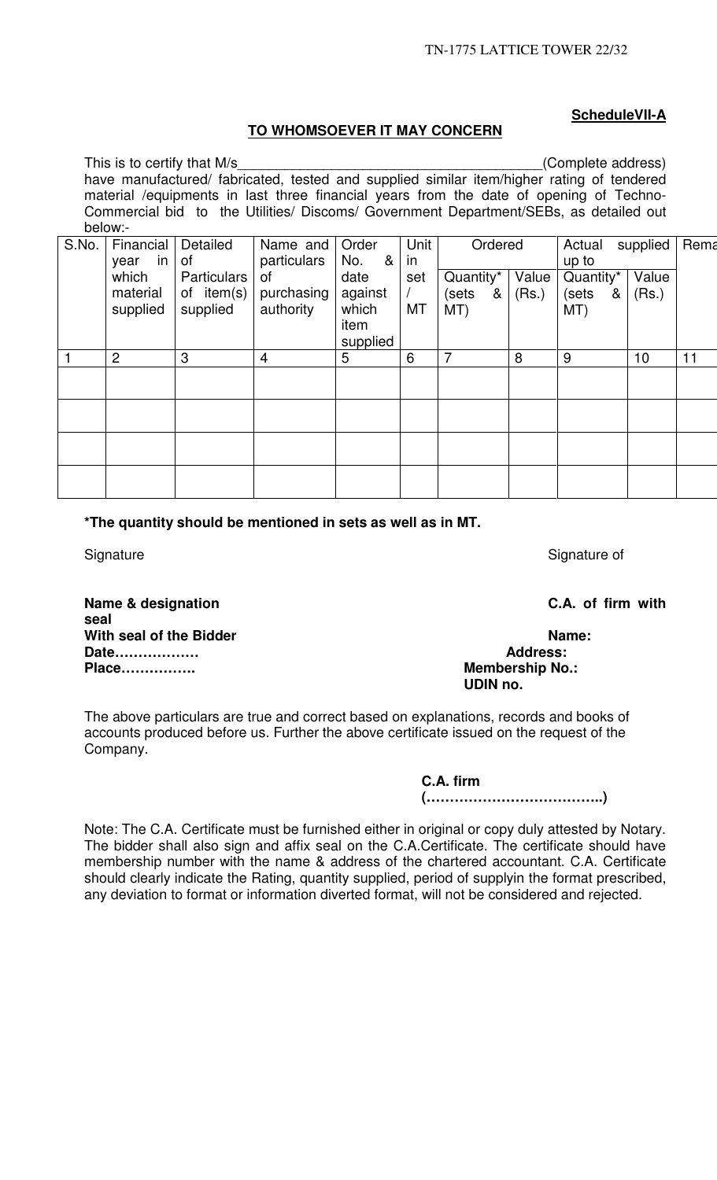# **ScheduleVII-A**

## **TO WHOMSOEVER IT MAY CONCERN**

|       | This is to certify that M/s                                                               |                    |                                                                                        |          |      |           |       | (Complete address) |          |      |
|-------|-------------------------------------------------------------------------------------------|--------------------|----------------------------------------------------------------------------------------|----------|------|-----------|-------|--------------------|----------|------|
|       | have manufactured/ fabricated, tested and supplied similar item/higher rating of tendered |                    |                                                                                        |          |      |           |       |                    |          |      |
|       |                                                                                           |                    | material /equipments in last three financial years from the date of opening of Techno- |          |      |           |       |                    |          |      |
|       |                                                                                           |                    | Commercial bid to the Utilities/ Discoms/ Government Department/SEBs, as detailed out  |          |      |           |       |                    |          |      |
|       | below:-                                                                                   |                    |                                                                                        |          |      |           |       |                    |          |      |
| S.No. | Financial                                                                                 | Detailed           | Name and                                                                               | Order    | Unit | Ordered   |       | Actual             | supplied | Rema |
|       | in I<br>year                                                                              | 0f                 | particulars                                                                            | &<br>No. | in   |           |       | up to              |          |      |
|       | which                                                                                     | <b>Particulars</b> | 0f                                                                                     | date     | set  | Quantity* | Value | Quantity*          | Value    |      |
|       | material                                                                                  | of $item(s)$       | purchasing                                                                             | against  |      | (sets &   | (Rs.) | (sets<br>&         | (Rs.)    |      |
|       | supplied                                                                                  | supplied           | authority                                                                              | which    | MT   | MT)       |       | MT)                |          |      |
|       |                                                                                           |                    |                                                                                        | item     |      |           |       |                    |          |      |
|       |                                                                                           |                    |                                                                                        | supplied |      |           |       |                    |          |      |
|       | $\overline{2}$                                                                            | 3                  | $\overline{4}$                                                                         | 5        | 6    | 7         | 8     | 9                  | 10       | 11   |
|       |                                                                                           |                    |                                                                                        |          |      |           |       |                    |          |      |
|       |                                                                                           |                    |                                                                                        |          |      |           |       |                    |          |      |
|       |                                                                                           |                    |                                                                                        |          |      |           |       |                    |          |      |
|       |                                                                                           |                    |                                                                                        |          |      |           |       |                    |          |      |
|       |                                                                                           |                    |                                                                                        |          |      |           |       |                    |          |      |
|       |                                                                                           |                    |                                                                                        |          |      |           |       |                    |          |      |
|       |                                                                                           |                    |                                                                                        |          |      |           |       |                    |          |      |
|       |                                                                                           |                    |                                                                                        |          |      |           |       |                    |          |      |

**\*The quantity should be mentioned in sets as well as in MT.** 

Signature Signature of Signature of Signature of Signature of Signature of

**Name & designation C.A. of firm with seal With seal of the Bidder Name: Name: Date** Name: **Date** Name: **Name: Address:** Date.................. **Place……………. Membership No.:** 

# **UDIN no.**

The above particulars are true and correct based on explanations, records and books of accounts produced before us. Further the above certificate issued on the request of the Company.

> **C.A. firm (………………………………..)**

Note: The C.A. Certificate must be furnished either in original or copy duly attested by Notary. The bidder shall also sign and affix seal on the C.A.Certificate. The certificate should have membership number with the name & address of the chartered accountant. C.A. Certificate should clearly indicate the Rating, quantity supplied, period of supplyin the format prescribed, any deviation to format or information diverted format, will not be considered and rejected.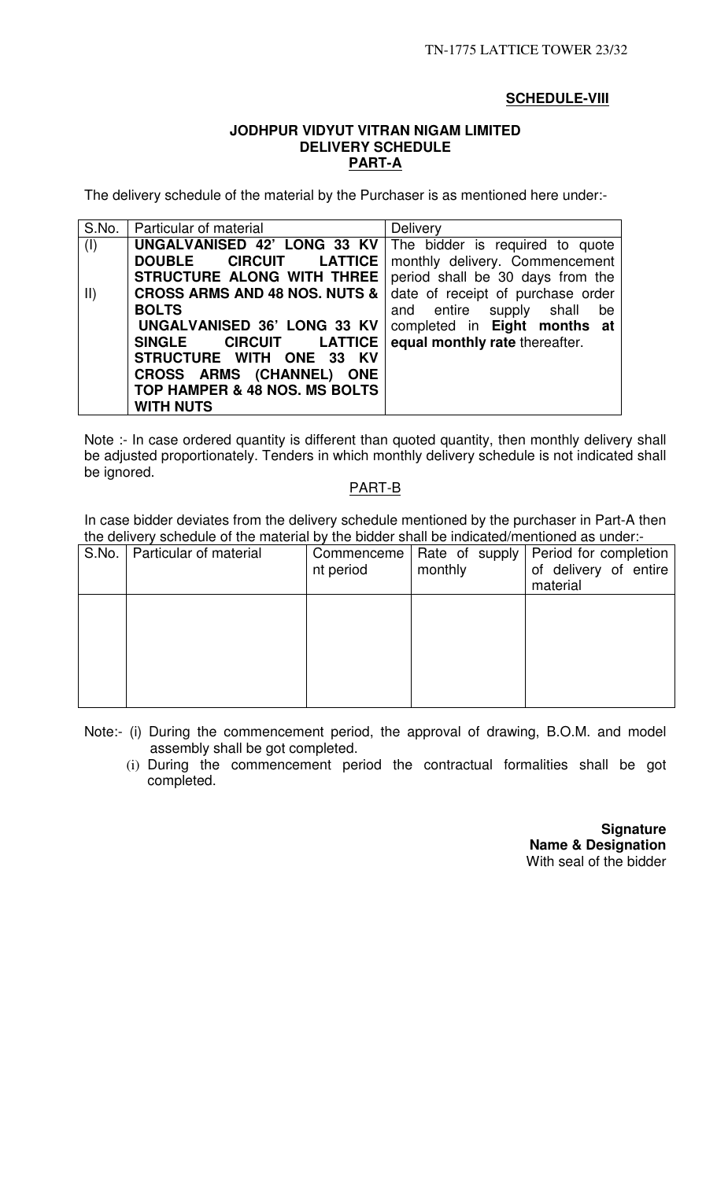## **SCHEDULE-VIII**

## **JODHPUR VIDYUT VITRAN NIGAM LIMITED DELIVERY SCHEDULE PART-A**

The delivery schedule of the material by the Purchaser is as mentioned here under:-

| S.No.         | Particular of material                                               | <b>Delivery</b>                   |
|---------------|----------------------------------------------------------------------|-----------------------------------|
| (I)           | <b>UNGALVANISED 42' LONG 33 KV</b>   The bidder is required to quote |                                   |
|               | DOUBLE CIRCUIT LATTICE                                               | monthly delivery. Commencement    |
|               | STRUCTURE ALONG WITH THREE                                           | period shall be 30 days from the  |
| $\vert \vert$ | <b>CROSS ARMS AND 48 NOS. NUTS &amp;  </b>                           | date of receipt of purchase order |
|               | <b>BOLTS</b>                                                         | and entire supply shall<br>be     |
|               | UNGALVANISED 36' LONG 33 KV                                          | completed in Eight months at      |
|               | <b>CIRCUIT LATTICE</b><br><b>SINGLE</b>                              | equal monthly rate thereafter.    |
|               | STRUCTURE WITH ONE 33 KV                                             |                                   |
|               | CROSS ARMS (CHANNEL) ONE                                             |                                   |
|               | TOP HAMPER & 48 NOS. MS BOLTS                                        |                                   |
|               | <b>WITH NUTS</b>                                                     |                                   |

Note :- In case ordered quantity is different than quoted quantity, then monthly delivery shall be adjusted proportionately. Tenders in which monthly delivery schedule is not indicated shall be ignored.

#### PART-B

In case bidder deviates from the delivery schedule mentioned by the purchaser in Part-A then the delivery schedule of the material by the bidder shall be indicated/mentioned as under:-

| S.No. | Particular of material | Commenceme<br>nt period | Rate of supply  <br>monthly | Period for completion<br>of delivery of entire<br>material |
|-------|------------------------|-------------------------|-----------------------------|------------------------------------------------------------|
|       |                        |                         |                             |                                                            |
|       |                        |                         |                             |                                                            |
|       |                        |                         |                             |                                                            |

Note:- (i) During the commencement period, the approval of drawing, B.O.M. and model assembly shall be got completed.

(i) During the commencement period the contractual formalities shall be got completed.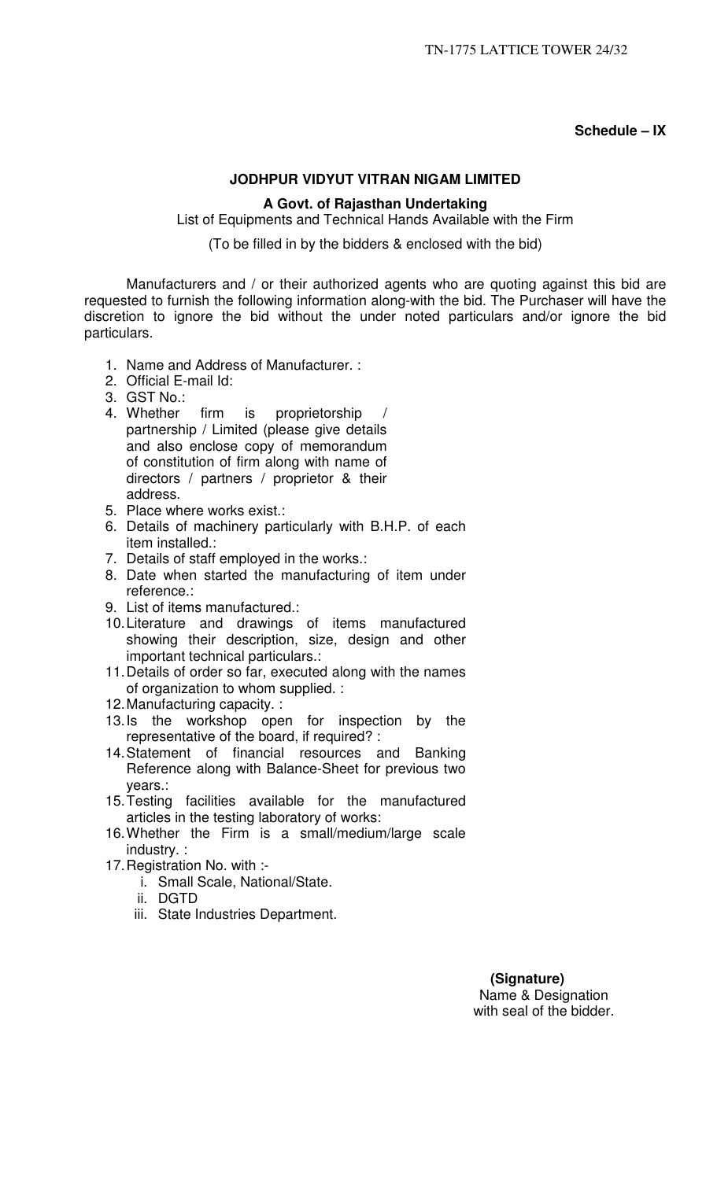**Schedule – IX** 

## **JODHPUR VIDYUT VITRAN NIGAM LIMITED**

## **A Govt. of Rajasthan Undertaking**

List of Equipments and Technical Hands Available with the Firm

(To be filled in by the bidders & enclosed with the bid)

Manufacturers and / or their authorized agents who are quoting against this bid are requested to furnish the following information along-with the bid. The Purchaser will have the discretion to ignore the bid without the under noted particulars and/or ignore the bid particulars.

- 1. Name and Address of Manufacturer. :
- 2. Official E-mail Id:
- 3. GST No.:
- 4. Whether firm is proprietorship partnership / Limited (please give details and also enclose copy of memorandum of constitution of firm along with name of directors / partners / proprietor & their address.
- 5. Place where works exist.:
- 6. Details of machinery particularly with B.H.P. of each item installed.:
- 7. Details of staff employed in the works.:
- 8. Date when started the manufacturing of item under reference.:
- 9. List of items manufactured.:
- 10. Literature and drawings of items manufactured showing their description, size, design and other important technical particulars.:
- 11. Details of order so far, executed along with the names of organization to whom supplied. :
- 12. Manufacturing capacity. :
- 13. Is the workshop open for inspection by the representative of the board, if required? :
- 14. Statement of financial resources and Banking Reference along with Balance-Sheet for previous two years.:
- 15. Testing facilities available for the manufactured articles in the testing laboratory of works:
- 16. Whether the Firm is a small/medium/large scale industry. :
- 17. Registration No. with :
	- i. Small Scale, National/State.
	- ii. DGTD
	- iii. State Industries Department.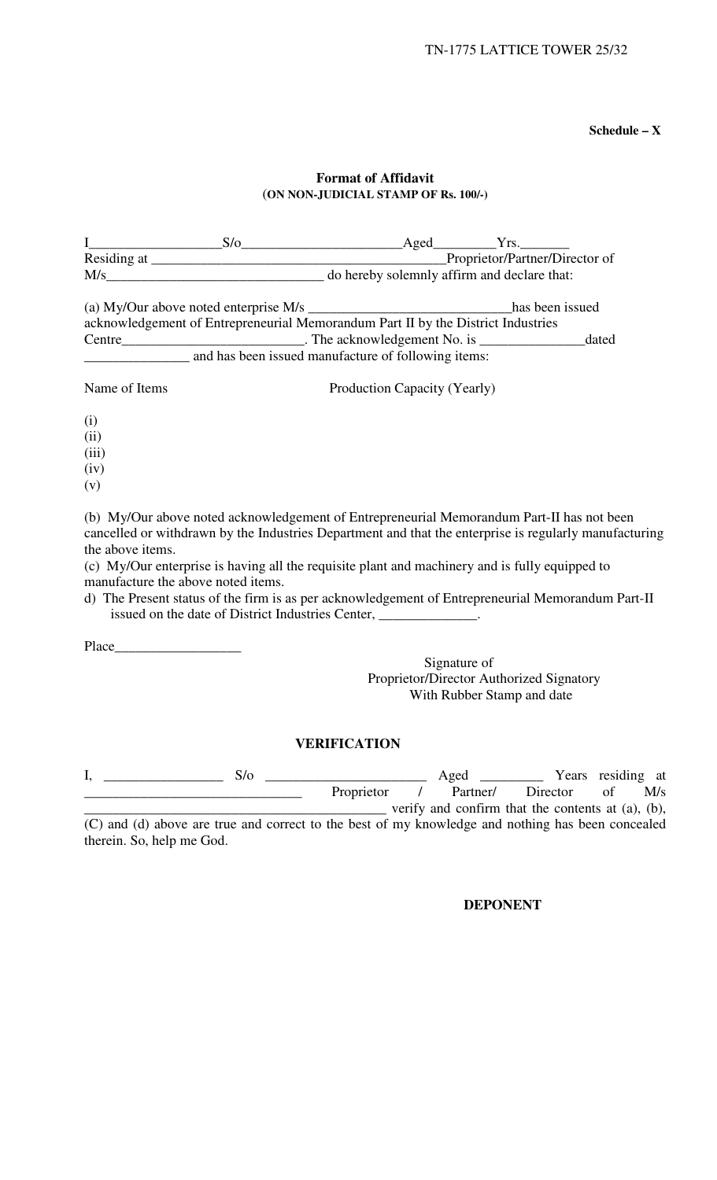**Schedule – X** 

## **Format of Affidavit**  (**ON NON-JUDICIAL STAMP OF Rs. 100/-)**

|                                                        | (a) My/Our above noted enterprise M/s _________________________________has been issued                                                                                                                                                                                                                                                                                                                                                                                         |                                                                               |                                            |          |                                       |  |
|--------------------------------------------------------|--------------------------------------------------------------------------------------------------------------------------------------------------------------------------------------------------------------------------------------------------------------------------------------------------------------------------------------------------------------------------------------------------------------------------------------------------------------------------------|-------------------------------------------------------------------------------|--------------------------------------------|----------|---------------------------------------|--|
|                                                        | acknowledgement of Entrepreneurial Memorandum Part II by the District Industries                                                                                                                                                                                                                                                                                                                                                                                               |                                                                               |                                            |          |                                       |  |
|                                                        | and has been issued manufacture of following items:                                                                                                                                                                                                                                                                                                                                                                                                                            |                                                                               |                                            |          |                                       |  |
|                                                        |                                                                                                                                                                                                                                                                                                                                                                                                                                                                                |                                                                               |                                            |          |                                       |  |
| Name of Items                                          |                                                                                                                                                                                                                                                                                                                                                                                                                                                                                | Production Capacity (Yearly)                                                  |                                            |          |                                       |  |
| (i)                                                    |                                                                                                                                                                                                                                                                                                                                                                                                                                                                                |                                                                               |                                            |          |                                       |  |
| (ii)                                                   |                                                                                                                                                                                                                                                                                                                                                                                                                                                                                |                                                                               |                                            |          |                                       |  |
| (iii)                                                  |                                                                                                                                                                                                                                                                                                                                                                                                                                                                                |                                                                               |                                            |          |                                       |  |
| (iv)                                                   |                                                                                                                                                                                                                                                                                                                                                                                                                                                                                |                                                                               |                                            |          |                                       |  |
| (v)                                                    |                                                                                                                                                                                                                                                                                                                                                                                                                                                                                |                                                                               |                                            |          |                                       |  |
| the above items.<br>manufacture the above noted items. | (b) My/Our above noted acknowledgement of Entrepreneurial Memorandum Part-II has not been<br>cancelled or withdrawn by the Industries Department and that the enterprise is regularly manufacturing<br>(c) My/Our enterprise is having all the requisite plant and machinery and is fully equipped to<br>d) The Present status of the firm is as per acknowledgement of Entrepreneurial Memorandum Part-II<br>issued on the date of District Industries Center, _____________. |                                                                               |                                            |          |                                       |  |
|                                                        |                                                                                                                                                                                                                                                                                                                                                                                                                                                                                |                                                                               |                                            |          |                                       |  |
|                                                        |                                                                                                                                                                                                                                                                                                                                                                                                                                                                                | Proprietor/Director Authorized Signatory                                      | Signature of<br>With Rubber Stamp and date |          |                                       |  |
|                                                        | <b>VERIFICATION</b>                                                                                                                                                                                                                                                                                                                                                                                                                                                            |                                                                               |                                            |          |                                       |  |
| I,                                                     | $S/O$ $\qquad S/O$ $\qquad$                                                                                                                                                                                                                                                                                                                                                                                                                                                    | Proprietor<br>$\frac{1}{1}$ verify and confirm that the contents at (a), (b), | Aged<br>Partner/                           | Director | <u>Nears</u> residing at<br>of<br>M/s |  |
|                                                        | (C) and (d) above are true and correct to the best of my knowledge and nothing has been concealed                                                                                                                                                                                                                                                                                                                                                                              |                                                                               |                                            |          |                                       |  |
| therein. So, help me God.                              |                                                                                                                                                                                                                                                                                                                                                                                                                                                                                |                                                                               |                                            |          |                                       |  |

## **DEPONENT**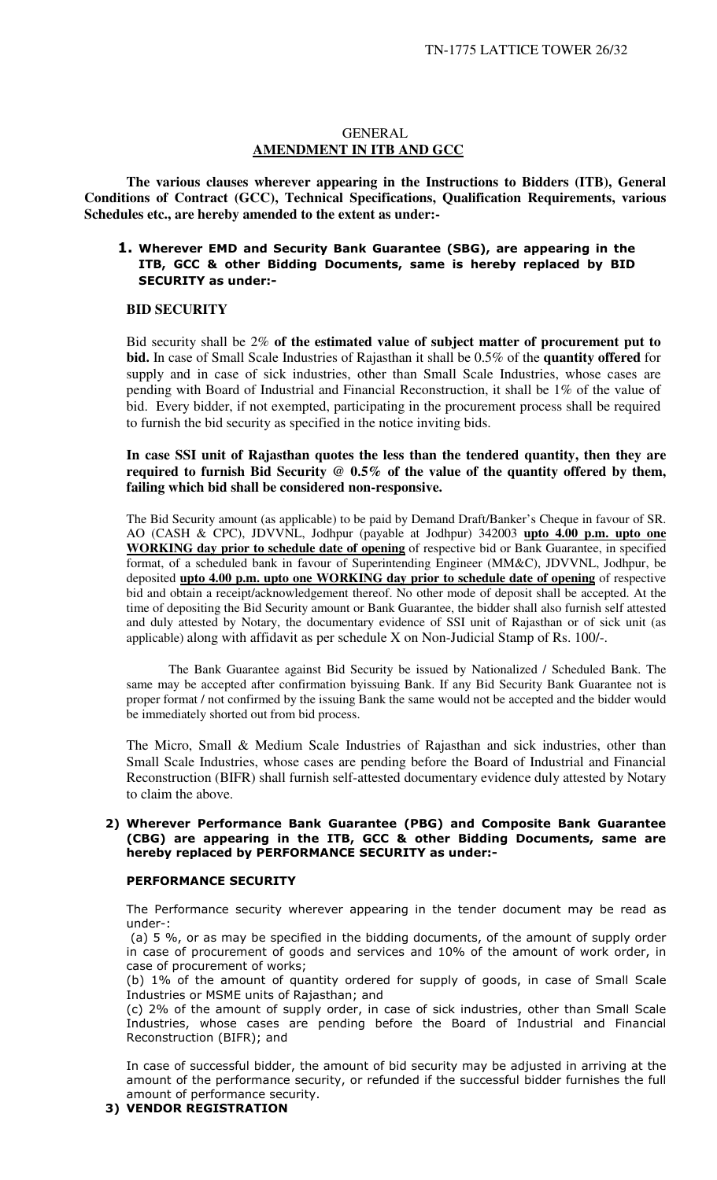#### GENERAL **AMENDMENT IN ITB AND GCC**

**The various clauses wherever appearing in the Instructions to Bidders (ITB), General Conditions of Contract (GCC), Technical Specifications, Qualification Requirements, various Schedules etc., are hereby amended to the extent as under:-** 

#### 1. Wherever EMD and Security Bank Guarantee (SBG), are appearing in the ITB, GCC & other Bidding Documents, same is hereby replaced by BID SECURITY as under:-

#### **BID SECURITY**

Bid security shall be 2% **of the estimated value of subject matter of procurement put to bid.** In case of Small Scale Industries of Rajasthan it shall be 0.5% of the **quantity offered** for supply and in case of sick industries, other than Small Scale Industries, whose cases are pending with Board of Industrial and Financial Reconstruction, it shall be 1% of the value of bid. Every bidder, if not exempted, participating in the procurement process shall be required to furnish the bid security as specified in the notice inviting bids.

#### **In case SSI unit of Rajasthan quotes the less than the tendered quantity, then they are required to furnish Bid Security @ 0.5% of the value of the quantity offered by them, failing which bid shall be considered non-responsive.**

The Bid Security amount (as applicable) to be paid by Demand Draft/Banker's Cheque in favour of SR. AO (CASH & CPC), JDVVNL, Jodhpur (payable at Jodhpur) 342003 **upto 4.00 p.m. upto one WORKING day prior to schedule date of opening** of respective bid or Bank Guarantee, in specified format, of a scheduled bank in favour of Superintending Engineer (MM&C), JDVVNL, Jodhpur, be deposited **upto 4.00 p.m. upto one WORKING day prior to schedule date of opening** of respective bid and obtain a receipt/acknowledgement thereof. No other mode of deposit shall be accepted. At the time of depositing the Bid Security amount or Bank Guarantee, the bidder shall also furnish self attested and duly attested by Notary, the documentary evidence of SSI unit of Rajasthan or of sick unit (as applicable) along with affidavit as per schedule X on Non-Judicial Stamp of Rs. 100/-.

The Bank Guarantee against Bid Security be issued by Nationalized / Scheduled Bank. The same may be accepted after confirmation byissuing Bank. If any Bid Security Bank Guarantee not is proper format / not confirmed by the issuing Bank the same would not be accepted and the bidder would be immediately shorted out from bid process.

The Micro, Small & Medium Scale Industries of Rajasthan and sick industries, other than Small Scale Industries, whose cases are pending before the Board of Industrial and Financial Reconstruction (BIFR) shall furnish self-attested documentary evidence duly attested by Notary to claim the above.

#### 2) Wherever Performance Bank Guarantee (PBG) and Composite Bank Guarantee (CBG) are appearing in the ITB, GCC & other Bidding Documents, same are hereby replaced by PERFORMANCE SECURITY as under:-

#### PERFORMANCE SECURITY

The Performance security wherever appearing in the tender document may be read as under-:

 (a) 5 %, or as may be specified in the bidding documents, of the amount of supply order in case of procurement of goods and services and 10% of the amount of work order, in case of procurement of works;

(b) 1% of the amount of quantity ordered for supply of goods, in case of Small Scale Industries or MSME units of Rajasthan; and

(c) 2% of the amount of supply order, in case of sick industries, other than Small Scale Industries, whose cases are pending before the Board of Industrial and Financial Reconstruction (BIFR); and

In case of successful bidder, the amount of bid security may be adjusted in arriving at the amount of the performance security, or refunded if the successful bidder furnishes the full amount of performance security.

#### 3) VENDOR REGISTRATION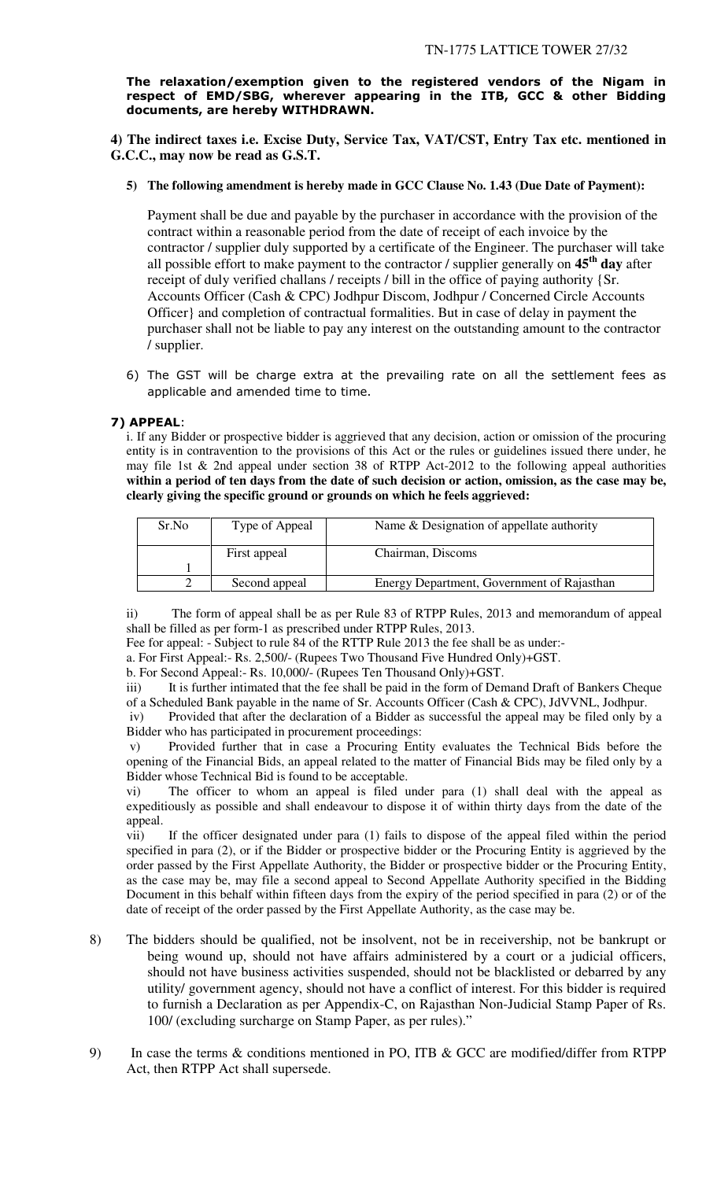The relaxation/exemption given to the registered vendors of the Nigam in respect of EMD/SBG, wherever appearing in the ITB, GCC & other Bidding documents, are hereby WITHDRAWN.

**4) The indirect taxes i.e. Excise Duty, Service Tax, VAT/CST, Entry Tax etc. mentioned in G.C.C., may now be read as G.S.T.** 

**5) The following amendment is hereby made in GCC Clause No. 1.43 (Due Date of Payment):** 

Payment shall be due and payable by the purchaser in accordance with the provision of the contract within a reasonable period from the date of receipt of each invoice by the contractor / supplier duly supported by a certificate of the Engineer. The purchaser will take all possible effort to make payment to the contractor / supplier generally on **45th day** after receipt of duly verified challans / receipts / bill in the office of paying authority {Sr. Accounts Officer (Cash & CPC) Jodhpur Discom, Jodhpur / Concerned Circle Accounts Officer} and completion of contractual formalities. But in case of delay in payment the purchaser shall not be liable to pay any interest on the outstanding amount to the contractor / supplier.

6) The GST will be charge extra at the prevailing rate on all the settlement fees as applicable and amended time to time.

## 7) APPEAL:

i. If any Bidder or prospective bidder is aggrieved that any decision, action or omission of the procuring entity is in contravention to the provisions of this Act or the rules or guidelines issued there under, he may file 1st & 2nd appeal under section 38 of RTPP Act-2012 to the following appeal authorities **within a period of ten days from the date of such decision or action, omission, as the case may be, clearly giving the specific ground or grounds on which he feels aggrieved:** 

| Sr.No | Type of Appeal | Name & Designation of appellate authority  |
|-------|----------------|--------------------------------------------|
|       | First appeal   | Chairman, Discoms                          |
|       |                |                                            |
|       | Second appeal  | Energy Department, Government of Rajasthan |

ii) The form of appeal shall be as per Rule 83 of RTPP Rules, 2013 and memorandum of appeal shall be filled as per form-1 as prescribed under RTPP Rules, 2013.

Fee for appeal: - Subject to rule 84 of the RTTP Rule 2013 the fee shall be as under:-

a. For First Appeal:- Rs. 2,500/- (Rupees Two Thousand Five Hundred Only)+GST.

b. For Second Appeal:- Rs. 10,000/- (Rupees Ten Thousand Only)+GST.

iii) It is further intimated that the fee shall be paid in the form of Demand Draft of Bankers Cheque of a Scheduled Bank payable in the name of Sr. Accounts Officer (Cash & CPC), JdVVNL, Jodhpur.

 iv) Provided that after the declaration of a Bidder as successful the appeal may be filed only by a Bidder who has participated in procurement proceedings:

 v) Provided further that in case a Procuring Entity evaluates the Technical Bids before the opening of the Financial Bids, an appeal related to the matter of Financial Bids may be filed only by a Bidder whose Technical Bid is found to be acceptable.

vi) The officer to whom an appeal is filed under para (1) shall deal with the appeal as expeditiously as possible and shall endeavour to dispose it of within thirty days from the date of the appeal.

vii) If the officer designated under para (1) fails to dispose of the appeal filed within the period specified in para (2), or if the Bidder or prospective bidder or the Procuring Entity is aggrieved by the order passed by the First Appellate Authority, the Bidder or prospective bidder or the Procuring Entity, as the case may be, may file a second appeal to Second Appellate Authority specified in the Bidding Document in this behalf within fifteen days from the expiry of the period specified in para (2) or of the date of receipt of the order passed by the First Appellate Authority, as the case may be.

- 8) The bidders should be qualified, not be insolvent, not be in receivership, not be bankrupt or being wound up, should not have affairs administered by a court or a judicial officers, should not have business activities suspended, should not be blacklisted or debarred by any utility/ government agency, should not have a conflict of interest. For this bidder is required to furnish a Declaration as per Appendix-C, on Rajasthan Non-Judicial Stamp Paper of Rs. 100/ (excluding surcharge on Stamp Paper, as per rules)."
- 9) In case the terms & conditions mentioned in PO, ITB & GCC are modified/differ from RTPP Act, then RTPP Act shall supersede.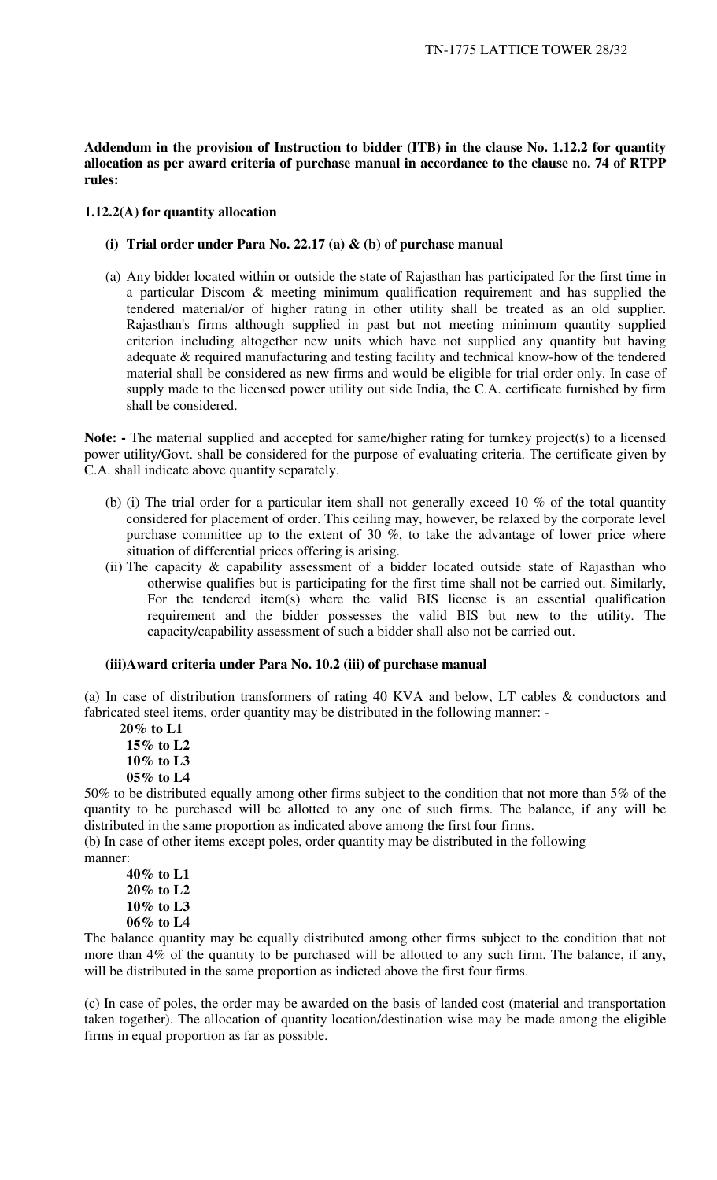**Addendum in the provision of Instruction to bidder (ITB) in the clause No. 1.12.2 for quantity allocation as per award criteria of purchase manual in accordance to the clause no. 74 of RTPP rules:** 

#### **1.12.2(A) for quantity allocation**

- **(i) Trial order under Para No. 22.17 (a) & (b) of purchase manual**
- (a) Any bidder located within or outside the state of Rajasthan has participated for the first time in a particular Discom & meeting minimum qualification requirement and has supplied the tendered material/or of higher rating in other utility shall be treated as an old supplier. Rajasthan's firms although supplied in past but not meeting minimum quantity supplied criterion including altogether new units which have not supplied any quantity but having adequate & required manufacturing and testing facility and technical know-how of the tendered material shall be considered as new firms and would be eligible for trial order only. In case of supply made to the licensed power utility out side India, the C.A. certificate furnished by firm shall be considered.

**Note:** - The material supplied and accepted for same/higher rating for turnkey project(s) to a licensed power utility/Govt. shall be considered for the purpose of evaluating criteria. The certificate given by C.A. shall indicate above quantity separately.

- (b) (i) The trial order for a particular item shall not generally exceed 10 % of the total quantity considered for placement of order. This ceiling may, however, be relaxed by the corporate level purchase committee up to the extent of 30  $\%$ , to take the advantage of lower price where situation of differential prices offering is arising.
- (ii) The capacity  $\&$  capability assessment of a bidder located outside state of Rajasthan who otherwise qualifies but is participating for the first time shall not be carried out. Similarly, For the tendered item(s) where the valid BIS license is an essential qualification requirement and the bidder possesses the valid BIS but new to the utility. The capacity/capability assessment of such a bidder shall also not be carried out.

#### **(iii)Award criteria under Para No. 10.2 (iii) of purchase manual**

(a) In case of distribution transformers of rating 40 KVA and below, LT cables & conductors and fabricated steel items, order quantity may be distributed in the following manner: -

 **20% to L1 15% to L2 10% to L3 05% to L4** 

50% to be distributed equally among other firms subject to the condition that not more than 5% of the quantity to be purchased will be allotted to any one of such firms. The balance, if any will be distributed in the same proportion as indicated above among the first four firms.

(b) In case of other items except poles, order quantity may be distributed in the following manner:

**40% to L1 20% to L2 10% to L3 06% to L4** 

The balance quantity may be equally distributed among other firms subject to the condition that not more than 4% of the quantity to be purchased will be allotted to any such firm. The balance, if any, will be distributed in the same proportion as indicted above the first four firms.

(c) In case of poles, the order may be awarded on the basis of landed cost (material and transportation taken together). The allocation of quantity location/destination wise may be made among the eligible firms in equal proportion as far as possible.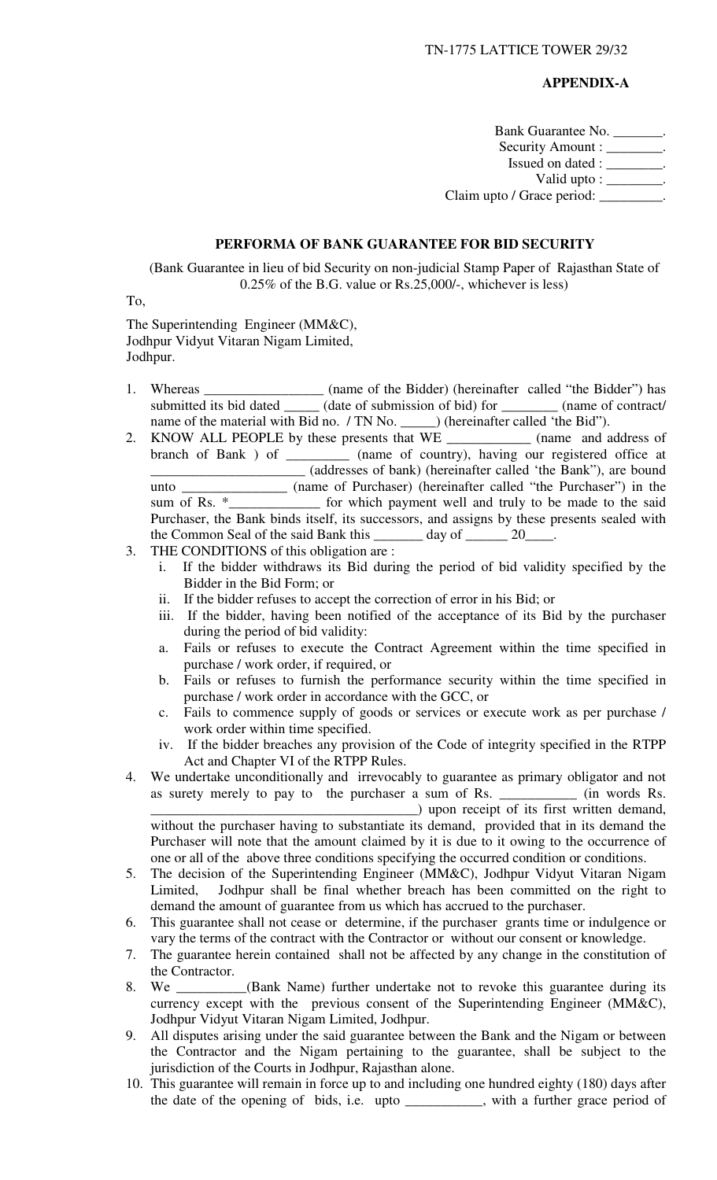#### **APPENDIX-A**

Bank Guarantee No. \_\_\_\_\_\_\_. Security Amount : \_\_\_\_\_\_\_\_. Issued on dated : \_\_\_\_\_\_\_\_. Valid upto :  $\frac{\ }{\ }$ . Claim upto / Grace period: \_\_\_\_\_\_\_\_\_.

#### **PERFORMA OF BANK GUARANTEE FOR BID SECURITY**

(Bank Guarantee in lieu of bid Security on non-judicial Stamp Paper of Rajasthan State of 0.25% of the B.G. value or Rs.25,000/-, whichever is less)

To,

The Superintending Engineer (MM&C), Jodhpur Vidyut Vitaran Nigam Limited, Jodhpur.

- 1. Whereas \_\_\_\_\_\_\_\_\_\_\_\_\_\_\_\_\_\_\_ (name of the Bidder) (hereinafter called "the Bidder") has submitted its bid dated \_\_\_\_\_\_ (date of submission of bid) for \_\_\_\_\_\_\_\_\_ (name of contract/ name of the material with Bid no. / TN No. \_\_\_\_\_\_) (hereinafter called 'the Bid'').
- 2. KNOW ALL PEOPLE by these presents that WE \_\_\_\_\_\_\_\_\_\_\_\_ (name and address of branch of Bank ) of \_\_\_\_\_\_\_\_\_ (name of country), having our registered office at \_\_\_\_\_\_\_\_\_\_\_\_\_\_\_\_\_\_\_\_\_\_ (addresses of bank) (hereinafter called 'the Bank"), are bound unto  $\frac{1}{\text{sum of Rs. *}}$  (name of Purchaser) (hereinafter called "the Purchaser") in the sum of Rs.  $\frac{1}{\text{sum of the area}}$  for which payment well and truly to be made to the said sum of realist unity to be made to the said Purchaser, the Bank binds itself, its successors, and assigns by these presents sealed with the Common Seal of the said Bank this day of 20
- 3. THE CONDITIONS of this obligation are :
	- i. If the bidder withdraws its Bid during the period of bid validity specified by the Bidder in the Bid Form; or
	- ii. If the bidder refuses to accept the correction of error in his Bid; or
	- iii. If the bidder, having been notified of the acceptance of its Bid by the purchaser during the period of bid validity:
	- a. Fails or refuses to execute the Contract Agreement within the time specified in purchase / work order, if required, or
	- b. Fails or refuses to furnish the performance security within the time specified in purchase / work order in accordance with the GCC, or
	- c. Fails to commence supply of goods or services or execute work as per purchase / work order within time specified.
	- iv. If the bidder breaches any provision of the Code of integrity specified in the RTPP Act and Chapter VI of the RTPP Rules.
- 4. We undertake unconditionally and irrevocably to guarantee as primary obligator and not as surety merely to pay to the purchaser a sum of Rs. \_\_\_\_\_\_\_\_\_\_\_ (in words Rs. \_\_\_\_\_\_\_\_\_\_\_\_\_\_\_\_\_\_\_\_\_\_\_\_\_\_\_\_\_\_\_\_\_\_\_\_\_\_) upon receipt of its first written demand, without the purchaser having to substantiate its demand, provided that in its demand the Purchaser will note that the amount claimed by it is due to it owing to the occurrence of one or all of the above three conditions specifying the occurred condition or conditions.
- 5. The decision of the Superintending Engineer (MM&C), Jodhpur Vidyut Vitaran Nigam Limited, Jodhpur shall be final whether breach has been committed on the right to demand the amount of guarantee from us which has accrued to the purchaser.
- 6. This guarantee shall not cease or determine, if the purchaser grants time or indulgence or vary the terms of the contract with the Contractor or without our consent or knowledge.
- 7. The guarantee herein contained shall not be affected by any change in the constitution of the Contractor.
- 8. We \_\_\_\_\_\_\_\_\_\_(Bank Name) further undertake not to revoke this guarantee during its currency except with the previous consent of the Superintending Engineer (MM&C), Jodhpur Vidyut Vitaran Nigam Limited, Jodhpur.
- 9. All disputes arising under the said guarantee between the Bank and the Nigam or between the Contractor and the Nigam pertaining to the guarantee, shall be subject to the jurisdiction of the Courts in Jodhpur, Rajasthan alone.
- 10. This guarantee will remain in force up to and including one hundred eighty (180) days after the date of the opening of bids, i.e. upto \_\_\_\_\_\_\_\_\_\_\_, with a further grace period of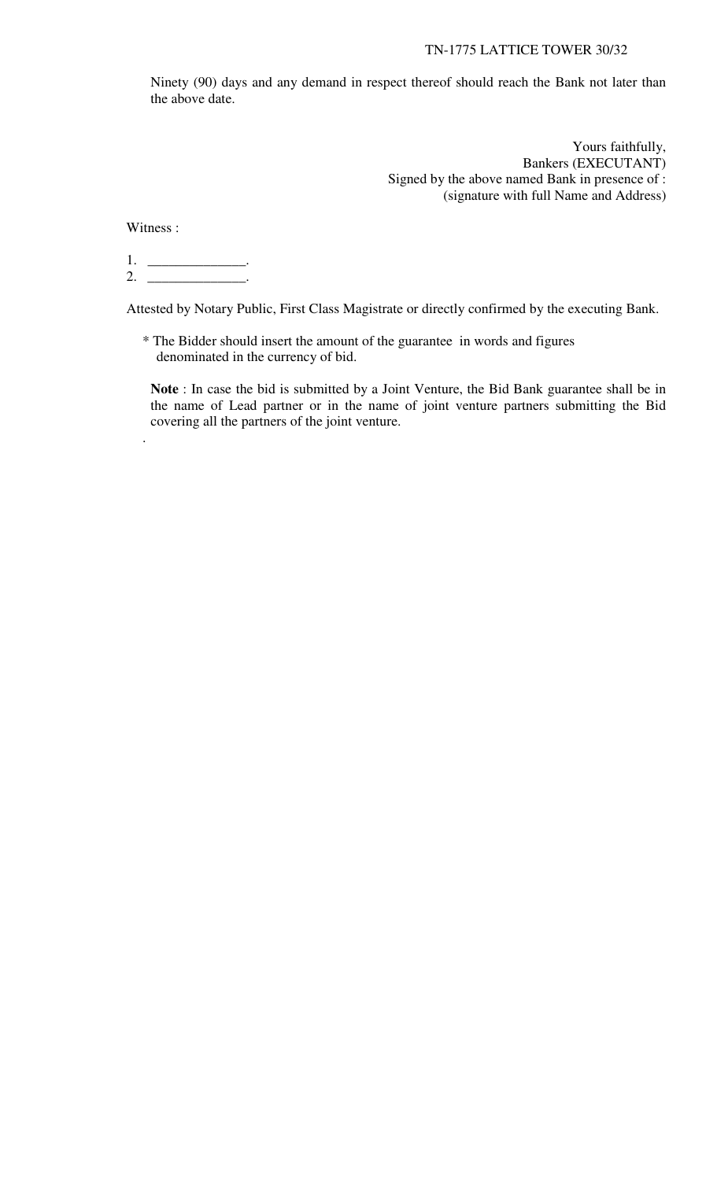Ninety (90) days and any demand in respect thereof should reach the Bank not later than the above date.

> Yours faithfully, Bankers (EXECUTANT) Signed by the above named Bank in presence of : (signature with full Name and Address)

Witness :

.

1. \_\_\_\_\_\_\_\_\_\_\_\_\_\_\_\_\_. 2. \_\_\_\_\_\_\_\_\_\_\_\_\_\_\_\_\_.

Attested by Notary Public, First Class Magistrate or directly confirmed by the executing Bank.

\* The Bidder should insert the amount of the guarantee in words and figures denominated in the currency of bid.

**Note** : In case the bid is submitted by a Joint Venture, the Bid Bank guarantee shall be in the name of Lead partner or in the name of joint venture partners submitting the Bid covering all the partners of the joint venture.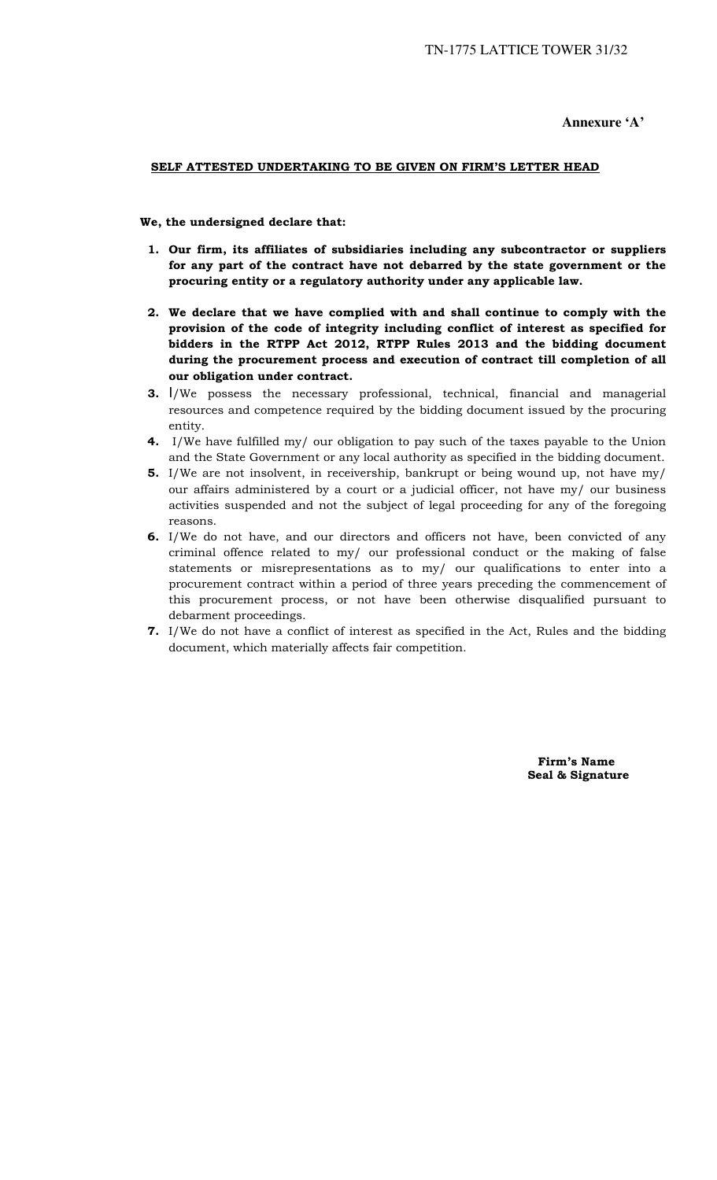**Annexure 'A'** 

#### SELF ATTESTED UNDERTAKING TO BE GIVEN ON FIRM'S LETTER HEAD

We, the undersigned declare that:

- 1. Our firm, its affiliates of subsidiaries including any subcontractor or suppliers for any part of the contract have not debarred by the state government or the procuring entity or a regulatory authority under any applicable law.
- 2. We declare that we have complied with and shall continue to comply with the provision of the code of integrity including conflict of interest as specified for bidders in the RTPP Act 2012, RTPP Rules 2013 and the bidding document during the procurement process and execution of contract till completion of all our obligation under contract.
- 3. I/We possess the necessary professional, technical, financial and managerial resources and competence required by the bidding document issued by the procuring entity.
- 4. I/We have fulfilled my/ our obligation to pay such of the taxes payable to the Union and the State Government or any local authority as specified in the bidding document.
- 5. I/We are not insolvent, in receivership, bankrupt or being wound up, not have my/ our affairs administered by a court or a judicial officer, not have my/ our business activities suspended and not the subject of legal proceeding for any of the foregoing reasons.
- 6. I/We do not have, and our directors and officers not have, been convicted of any criminal offence related to my/ our professional conduct or the making of false statements or misrepresentations as to my/ our qualifications to enter into a procurement contract within a period of three years preceding the commencement of this procurement process, or not have been otherwise disqualified pursuant to debarment proceedings.
- 7. I/We do not have a conflict of interest as specified in the Act, Rules and the bidding document, which materially affects fair competition.

 Firm's Name Seal & Signature